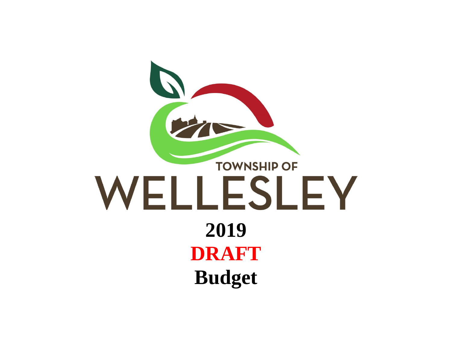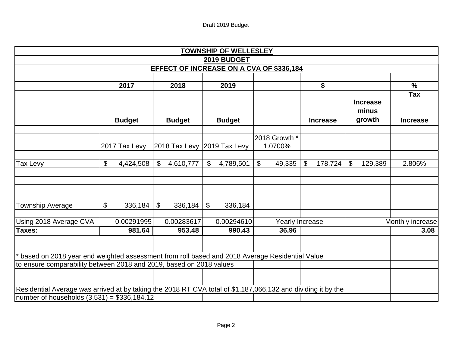|                                                                                                              |                 |                |                             |                | <b>TOWNSHIP OF WELLESLEY</b>                    |                        |                 |                            |                          |                          |
|--------------------------------------------------------------------------------------------------------------|-----------------|----------------|-----------------------------|----------------|-------------------------------------------------|------------------------|-----------------|----------------------------|--------------------------|--------------------------|
|                                                                                                              |                 |                |                             |                | 2019 BUDGET                                     |                        |                 |                            |                          |                          |
|                                                                                                              |                 |                |                             |                | <b>EFFECT OF INCREASE ON A CVA OF \$336,184</b> |                        |                 |                            |                          |                          |
|                                                                                                              |                 |                |                             |                |                                                 |                        |                 |                            |                          |                          |
|                                                                                                              | 2017            |                | 2018                        |                | 2019                                            |                        | \$              |                            |                          | $\overline{\frac{9}{6}}$ |
|                                                                                                              |                 |                |                             |                |                                                 |                        |                 |                            |                          | <b>Tax</b>               |
|                                                                                                              |                 |                |                             |                |                                                 |                        |                 |                            | <b>Increase</b><br>minus |                          |
|                                                                                                              | <b>Budget</b>   |                | <b>Budget</b>               |                | <b>Budget</b>                                   |                        | <b>Increase</b> |                            | growth                   | <b>Increase</b>          |
|                                                                                                              |                 |                |                             |                |                                                 |                        |                 |                            |                          |                          |
|                                                                                                              |                 |                |                             |                |                                                 | 2018 Growth *          |                 |                            |                          |                          |
|                                                                                                              | 2017 Tax Levy   |                | 2018 Tax Levy 2019 Tax Levy |                |                                                 | 1.0700%                |                 |                            |                          |                          |
| Tax Levy                                                                                                     | \$<br>4,424,508 | $\mathfrak{S}$ | 4,610,777                   | $\mathfrak{S}$ | 4,789,501                                       | \$<br>49,335           | \$<br>178,724   | $\boldsymbol{\mathsf{\$}}$ | 129,389                  | 2.806%                   |
|                                                                                                              |                 |                |                             |                |                                                 |                        |                 |                            |                          |                          |
|                                                                                                              |                 |                |                             |                |                                                 |                        |                 |                            |                          |                          |
| <b>Township Average</b>                                                                                      | \$<br>336,184   | $\mathfrak{S}$ | 336,184                     | \$             | 336,184                                         |                        |                 |                            |                          |                          |
| Using 2018 Average CVA                                                                                       | 0.00291995      |                | 0.00283617                  |                | 0.00294610                                      | <b>Yearly Increase</b> |                 |                            |                          | Monthly increase         |
| Taxes:                                                                                                       | 981.64          |                | 953.48                      |                | 990.43                                          | 36.96                  |                 |                            |                          | 3.08                     |
|                                                                                                              |                 |                |                             |                |                                                 |                        |                 |                            |                          |                          |
| based on 2018 year end weighted assessment from roll based and 2018 Average Residential Value                |                 |                |                             |                |                                                 |                        |                 |                            |                          |                          |
| to ensure comparability between 2018 and 2019, based on 2018 values                                          |                 |                |                             |                |                                                 |                        |                 |                            |                          |                          |
|                                                                                                              |                 |                |                             |                |                                                 |                        |                 |                            |                          |                          |
| Residential Average was arrived at by taking the 2018 RT CVA total of \$1,187,066,132 and dividing it by the |                 |                |                             |                |                                                 |                        |                 |                            |                          |                          |
| number of households $(3,531) = $336,184.12$                                                                 |                 |                |                             |                |                                                 |                        |                 |                            |                          |                          |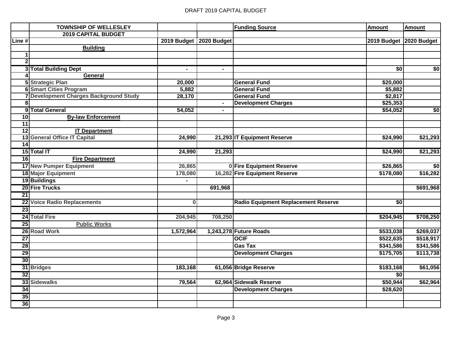|                 | <b>TOWNSHIP OF WELLESLEY</b>                |                           |                | <b>Funding Source</b>               | <b>Amount</b>   | <b>Amount</b>           |
|-----------------|---------------------------------------------|---------------------------|----------------|-------------------------------------|-----------------|-------------------------|
|                 | <b>2019 CAPITAL BUDGET</b>                  |                           |                |                                     |                 |                         |
| Line #          |                                             | 2019 Budget   2020 Budget |                |                                     |                 | 2019 Budget 2020 Budget |
|                 | <b>Building</b>                             |                           |                |                                     |                 |                         |
| 1               |                                             |                           |                |                                     |                 |                         |
| $\mathbf{2}$    |                                             |                           |                |                                     |                 |                         |
|                 | 3 Total Building Dept                       | $\blacksquare$            | $\blacksquare$ |                                     | $\overline{50}$ | \$0                     |
|                 | General                                     |                           |                |                                     |                 |                         |
|                 | <b>5</b> Strategic Plan                     | 20,000                    |                | <b>General Fund</b>                 | \$20,000        |                         |
|                 | <b>6 Smart Cities Program</b>               | 5,882                     |                | <b>General Fund</b>                 | \$5,882         |                         |
|                 | <b>Development Charges Background Study</b> | 28,170                    |                | <b>General Fund</b>                 | \$2,817         |                         |
| 8               |                                             |                           |                | <b>Development Charges</b>          | \$25,353        |                         |
|                 | 9 Total General                             | 54,052                    | ۰              |                                     | \$54,052        | \$0                     |
| 10              | <b>By-law Enforcement</b>                   |                           |                |                                     |                 |                         |
| $\overline{11}$ |                                             |                           |                |                                     |                 |                         |
| $\overline{12}$ | <b>IT Department</b>                        |                           |                |                                     |                 |                         |
|                 | 13 General Office IT Capital                | 24,990                    |                | 21,293 IT Equipment Reserve         | \$24,990        | \$21,293                |
| 14              |                                             |                           |                |                                     |                 |                         |
|                 | 15 Total IT                                 | 24,990                    | 21,293         |                                     | \$24,990        | \$21,293                |
| 16              | <b>Fire Department</b>                      |                           |                |                                     |                 |                         |
|                 | <b>17 New Pumper Equipment</b>              | 26,865                    |                | 0 Fire Equipment Reserve            | \$26,865        | \$0                     |
|                 | <b>18 Major Equipment</b>                   | 178,080                   |                | 16,282 Fire Equipment Reserve       | \$178,080       | \$16,282                |
|                 | 19 Buildings                                |                           |                |                                     |                 |                         |
|                 | 20 Fire Trucks                              |                           | 691,968        |                                     |                 | \$691,968               |
| 21              |                                             |                           |                |                                     |                 |                         |
| 22              | <b>Voice Radio Replacements</b>             | $\bf{0}$                  |                | Radio Equipment Replacement Reserve | \$0             |                         |
| 23              |                                             |                           |                |                                     |                 |                         |
|                 | 24 Total Fire                               | 204,945                   | 708,250        |                                     | \$204,945       | \$708,250               |
| 25              | <b>Public Works</b>                         |                           |                |                                     |                 |                         |
|                 | 26 Road Work                                | 1,572,964                 |                | 1,243,278 Future Roads              | \$533,038       | \$269,037               |
| $\overline{27}$ |                                             |                           |                | <b>OCIF</b>                         | \$522,635       | \$518,917               |
| 28              |                                             |                           |                | <b>Gas Tax</b>                      | \$341,586       | \$341,586               |
| 29              |                                             |                           |                | <b>Development Charges</b>          | \$175,705       | \$113,738               |
| 30              |                                             |                           |                |                                     |                 |                         |
|                 | 31 Bridges                                  | 183,168                   |                | 61,056 Bridge Reserve               | \$183,168       | \$61,056                |
| $\overline{32}$ |                                             |                           |                |                                     | \$0             |                         |
| $\overline{33}$ | <b>Sidewalks</b>                            | 79,564                    |                | 62,964 Sidewalk Reserve             | \$50,944        | \$62,964                |
| 34              |                                             |                           |                | <b>Development Charges</b>          | \$28,620        |                         |
| 35              |                                             |                           |                |                                     |                 |                         |
| 36              |                                             |                           |                |                                     |                 |                         |
|                 |                                             |                           |                |                                     |                 |                         |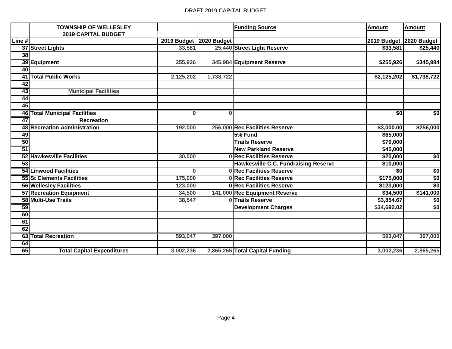|        | <b>TOWNSHIP OF WELLESLEY</b>         |                         |                           | <b>Funding Source</b>                       | Amount          | Amount                  |
|--------|--------------------------------------|-------------------------|---------------------------|---------------------------------------------|-----------------|-------------------------|
|        | <b>2019 CAPITAL BUDGET</b>           |                         |                           |                                             |                 |                         |
| Line # |                                      |                         | 2019 Budget   2020 Budget |                                             |                 | 2019 Budget 2020 Budget |
|        | 37 Street Lights                     | 33,581                  |                           | 25,440 Street Light Reserve                 | \$33,581        | \$25,440                |
| 38     |                                      |                         |                           |                                             |                 |                         |
|        | 39 Equipment                         | 255,926                 |                           | 345,984 Equipment Reserve                   | \$255,926       | \$345,984               |
| 40     |                                      |                         |                           |                                             |                 |                         |
| 41     | <b>Total Public Works</b>            | 2,125,202               | 1,738,722                 |                                             | \$2,125,202     | \$1,738,722             |
| 42     |                                      |                         |                           |                                             |                 |                         |
| 43     | <b>Municipal Facilities</b>          |                         |                           |                                             |                 |                         |
| 44     |                                      |                         |                           |                                             |                 |                         |
| 45     |                                      |                         |                           |                                             |                 |                         |
|        | <b>46 Total Municipal Facilities</b> | $\overline{\mathbf{0}}$ | $\bf{0}$                  |                                             | \$0             | \$0                     |
| 47     | <b>Recreation</b>                    |                         |                           |                                             |                 |                         |
|        | 48 Recreation Administration         | 192,000                 |                           | 256,000 Rec Facilities Reserve              | \$3,000.00      | \$256,000               |
| 49     |                                      |                         |                           | 5% Fund                                     | \$65,000        |                         |
| 50     |                                      |                         |                           | <b>Trails Reserve</b>                       | \$79,000        |                         |
| 51     |                                      |                         |                           | <b>New Parkland Reserve</b>                 | \$45,000        |                         |
|        | 52 Hawkesville Facilities            | 30,000                  |                           | 0 Rec Facilities Reserve                    | \$20,000        | \$0                     |
| 53     |                                      |                         |                           | <b>Hawkesville C.C. Fundraising Reserve</b> | \$10,000        |                         |
|        | <b>54 Linwood Facilities</b>         | $\Omega$                |                           | <b>ORec Facilities Reserve</b>              | $\overline{50}$ | \$0                     |
|        | 55 St Clements Facilities            | 175,000                 |                           | 0 Rec Facilities Reserve                    | \$175,000       | \$0                     |
|        | <b>56 Wellesley Facilities</b>       | 123,000                 |                           | <b>0 Rec Facilities Reserve</b>             | \$123,000       | \$0                     |
|        | 57 Recreation Equipment              | 34,500                  |                           | 141,000 Rec Equipment Reserve               | \$34,500        | \$141,000               |
|        | 58 Multi-Use Trails                  | 38,547                  |                           | 0 Trails Reserve                            | \$3,854.67      | \$0                     |
| 59     |                                      |                         |                           | <b>Development Charges</b>                  | \$34,692.02     | \$0                     |
| 60     |                                      |                         |                           |                                             |                 |                         |
| 61     |                                      |                         |                           |                                             |                 |                         |
| 62     |                                      |                         |                           |                                             |                 |                         |
|        | <b>63 Total Recreation</b>           | 593,047                 | 397,000                   |                                             | 593,047         | 397,000                 |
| 64     |                                      |                         |                           |                                             |                 |                         |
| 65     | <b>Total Capital Expenditures</b>    | 3,002,236               |                           | 2,865,265 Total Capital Funding             | 3,002,236       | 2,865,265               |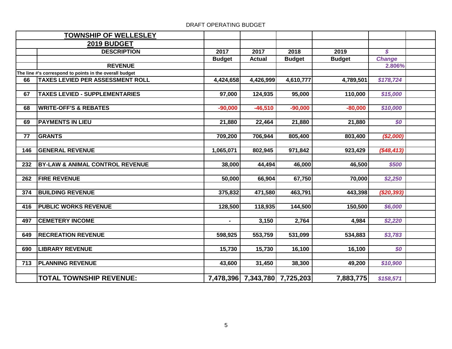|     | <b>TOWNSHIP OF WELLESLEY</b>                            |                |                               |               |               |               |  |
|-----|---------------------------------------------------------|----------------|-------------------------------|---------------|---------------|---------------|--|
|     | 2019 BUDGET                                             |                |                               |               |               |               |  |
|     | <b>DESCRIPTION</b>                                      | 2017           | 2017                          | 2018          | 2019          | \$            |  |
|     |                                                         | <b>Budget</b>  | <b>Actual</b>                 | <b>Budget</b> | <b>Budget</b> | <b>Change</b> |  |
|     | <b>REVENUE</b>                                          |                |                               |               |               | 2.806%        |  |
|     | The line #'s correspond to points in the overall budget |                |                               |               |               |               |  |
| 66  | <b>TAXES LEVIED PER ASSESSMENT ROLL</b>                 | 4,424,658      | 4,426,999                     | 4,610,777     | 4,789,501     | \$178,724     |  |
|     |                                                         |                |                               |               |               |               |  |
| 67  | <b>TAXES LEVIED - SUPPLEMENTARIES</b>                   | 97,000         | 124,935                       | 95,000        | 110,000       | \$15,000      |  |
|     |                                                         |                |                               |               |               |               |  |
| 68  | <b>WRITE-OFF'S &amp; REBATES</b>                        | $-90,000$      | $-46,510$                     | $-90,000$     | $-80,000$     | \$10,000      |  |
|     |                                                         |                |                               |               |               |               |  |
| 69  | <b>PAYMENTS IN LIEU</b>                                 | 21,880         | 22,464                        | 21,880        | 21,880        | \$0           |  |
|     | <b>GRANTS</b>                                           |                |                               |               |               |               |  |
| 77  |                                                         | 709,200        | 706,944                       | 805,400       | 803,400       | (\$2,000)     |  |
| 146 | <b>GENERAL REVENUE</b>                                  | 1,065,071      | 802,945                       | 971,842       | 923,429       | (\$48, 413)   |  |
|     |                                                         |                |                               |               |               |               |  |
| 232 | <b>BY-LAW &amp; ANIMAL CONTROL REVENUE</b>              | 38,000         | 44,494                        | 46,000        | 46,500        | \$500         |  |
|     |                                                         |                |                               |               |               |               |  |
| 262 | <b>FIRE REVENUE</b>                                     | 50,000         | 66,904                        | 67,750        | 70,000        | \$2,250       |  |
|     |                                                         |                |                               |               |               |               |  |
| 374 | <b>BUILDING REVENUE</b>                                 | 375,832        | 471,580                       | 463,791       | 443,398       | (\$20,393)    |  |
|     |                                                         |                |                               |               |               |               |  |
| 416 | <b>PUBLIC WORKS REVENUE</b>                             | 128,500        | 118,935                       | 144,500       | 150,500       | \$6,000       |  |
|     |                                                         |                |                               |               |               |               |  |
| 497 | <b>CEMETERY INCOME</b>                                  | $\blacksquare$ | 3,150                         | 2,764         | 4,984         | \$2,220       |  |
|     |                                                         |                |                               |               |               |               |  |
| 649 | <b>RECREATION REVENUE</b>                               | 598,925        | 553,759                       | 531,099       | 534,883       | \$3,783       |  |
|     |                                                         |                |                               |               |               |               |  |
| 690 | <b>LIBRARY REVENUE</b>                                  | 15,730         | 15,730                        | 16,100        | 16,100        | \$0           |  |
|     |                                                         |                |                               |               |               |               |  |
| 713 | <b>PLANNING REVENUE</b>                                 | 43,600         | 31,450                        | 38,300        | 49,200        | \$10,900      |  |
|     |                                                         |                |                               |               |               |               |  |
|     | <b>TOTAL TOWNSHIP REVENUE:</b>                          |                | 7,478,396 7,343,780 7,725,203 |               | 7,883,775     | \$158,571     |  |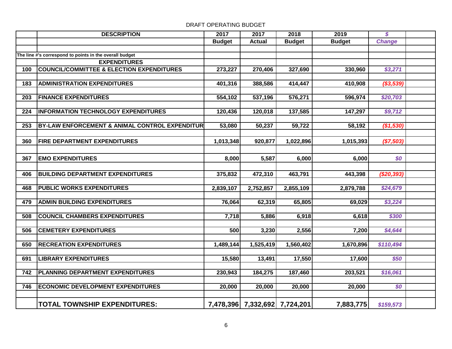# **DESCRIPTION 2017 2017 2018 2019** *\$* **Budget Actual Budget Budget** *Change* **The line #'s correspond to points in the overall budget EXPENDITURES COUNCIL/COMMITTEE & ELECTION EXPENDITURES 273,227 270,406 327,690 330,960** *\$3,271* **ADMINISTRATION EXPENDITURES 401,316 388,586 414,447 410,908** *(\$3,539)* **FINANCE EXPENDITURES 554,102 537,196 576,271 596,974** *\$20,703* **224 INFORMATION TECHNOLOGY EXPENDITURES** 120,436 120,018 137,585 147,297 59,712 **253 BY-LAW ENFORCEMENT & ANIMAL CONTROL EXPENDITUR** 53,080 50,237 59,722 58,192 58,192 58,192 **FIRE DEPARTMENT EXPENDITURES 1,013,348 920,877 1,022,896 1,015,393** *(\$7,503)* **EMO EXPENDITURES 8,000 5,587 6,000 6,000** *\$0* **BUILDING DEPARTMENT EXPENDITURES 375,832 472,310 463,791 443,398** *(\$20,393)* **PUBLIC WORKS EXPENDITURES 2,839,107 2,752,857 2,855,109 2,879,788** *\$24,679* **ADMIN BUILDING EXPENDITURES 76,064 62,319 65,805 69,029** *\$3,224* **COUNCIL CHAMBERS EXPENDITURES 7,718 5,886 6,918 6,618** *\$300* **CEMETERY EXPENDITURES 500 3,230 2,556 7,200** *\$4,644* **RECREATION EXPENDITURES 1,489,144 1,525,419 1,560,402 1,670,896** *\$110,494* **LIBRARY EXPENDITURES 15,580 13,491 17,550 17,600** *\$50* **PLANNING DEPARTMENT EXPENDITURES 230,943 184,275 187,460 203,521** *\$16,061* **ECONOMIC DEVELOPMENT EXPENDITURES 20,000 20,000 20,000 20,000** *\$0* **TOTAL TOWNSHIP EXPENDITURES: 7,478,396 7,332,692 7,724,201 7,883,775** *\$159,573*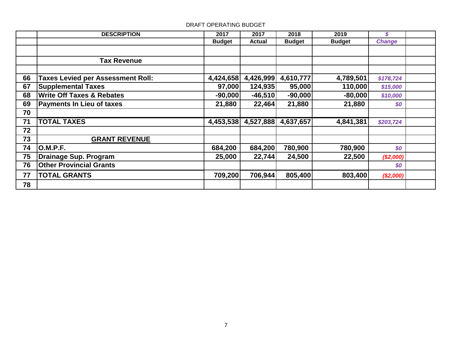|    | <b>DESCRIPTION</b>                       | 2017          | 2017          | 2018          | 2019          | \$            |  |
|----|------------------------------------------|---------------|---------------|---------------|---------------|---------------|--|
|    |                                          | <b>Budget</b> | <b>Actual</b> | <b>Budget</b> | <b>Budget</b> | <b>Change</b> |  |
|    |                                          |               |               |               |               |               |  |
|    | <b>Tax Revenue</b>                       |               |               |               |               |               |  |
|    |                                          |               |               |               |               |               |  |
| 66 | <b>Taxes Levied per Assessment Roll:</b> | 4,424,658     | 4,426,999     | 4,610,777     | 4,789,501     | \$178,724     |  |
| 67 | <b>Supplemental Taxes</b>                | 97,000        | 124,935       | 95,000        | 110,000       | \$15,000      |  |
| 68 | <b>Write Off Taxes &amp; Rebates</b>     | $-90,000$     | $-46,510$     | $-90,000$     | $-80,000$     | \$10,000      |  |
| 69 | <b>Payments In Lieu of taxes</b>         | 21,880        | 22,464        | 21,880        | 21,880        | \$0           |  |
| 70 |                                          |               |               |               |               |               |  |
| 71 | <b>TOTAL TAXES</b>                       | 4,453,538     | 4,527,888     | 4,637,657     | 4,841,381     | \$203,724     |  |
| 72 |                                          |               |               |               |               |               |  |
| 73 | <b>GRANT REVENUE</b>                     |               |               |               |               |               |  |
| 74 | <b>O.M.P.F.</b>                          | 684,200       | 684,200       | 780,900       | 780,900       | \$0           |  |
| 75 | <b>Drainage Sup. Program</b>             | 25,000        | 22,744        | 24,500        | 22,500        | (\$2,000)     |  |
| 76 | <b>Other Provincial Grants</b>           |               |               |               |               | \$0           |  |
| 77 | <b>TOTAL GRANTS</b>                      | 709,200       | 706,944       | 805,400       | 803,400       | (\$2,000)     |  |
| 78 |                                          |               |               |               |               |               |  |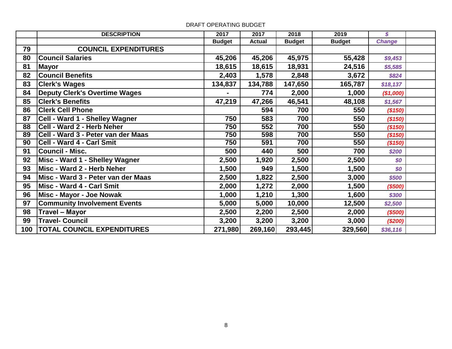|     | <b>DESCRIPTION</b>                   | 2017          | 2017          | 2018          | 2019          | \$            |  |
|-----|--------------------------------------|---------------|---------------|---------------|---------------|---------------|--|
|     |                                      | <b>Budget</b> | <b>Actual</b> | <b>Budget</b> | <b>Budget</b> | <b>Change</b> |  |
| 79  | <b>COUNCIL EXPENDITURES</b>          |               |               |               |               |               |  |
| 80  | <b>Council Salaries</b>              | 45,206        | 45,206        | 45,975        | 55,428        | \$9,453       |  |
| 81  | <b>Mayor</b>                         | 18,615        | 18,615        | 18,931        | 24,516        | \$5,585       |  |
| 82  | <b>Council Benefits</b>              | 2,403         | 1,578         | 2,848         | 3,672         | \$824         |  |
| 83  | <b>Clerk's Wages</b>                 | 134,837       | 134,788       | 147,650       | 165,787       | \$18,137      |  |
| 84  | <b>Deputy Clerk's Overtime Wages</b> |               | 774           | 2,000         | 1,000         | (\$1,000)     |  |
| 85  | <b>Clerk's Benefits</b>              | 47,219        | 47,266        | 46,541        | 48,108        | \$1,567       |  |
| 86  | <b>Clerk Cell Phone</b>              |               | 594           | 700           | 550           | (\$150)       |  |
| 87  | Cell - Ward 1 - Shelley Wagner       | 750           | 583           | 700           | 550           | (\$150)       |  |
| 88  | Cell - Ward 2 - Herb Neher           | 750           | 552           | 700           | 550           | (\$150)       |  |
| 89  | Cell - Ward 3 - Peter van der Maas   | 750           | 598           | 700           | 550           | (\$150)       |  |
| 90  | Cell - Ward 4 - Carl Smit            | 750           | 591           | 700           | 550           | (\$150)       |  |
| 91  | <b>Council - Misc.</b>               | 500           | 440           | 500           | 700           | \$200         |  |
| 92  | Misc - Ward 1 - Shelley Wagner       | 2,500         | 1,920         | 2,500         | 2,500         | \$0           |  |
| 93  | Misc - Ward 2 - Herb Neher           | 1,500         | 949           | 1,500         | 1,500         | \$0           |  |
| 94  | Misc - Ward 3 - Peter van der Maas   | 2,500         | 1,822         | 2,500         | 3,000         | \$500         |  |
| 95  | Misc - Ward 4 - Carl Smit            | 2,000         | 1,272         | 2,000         | 1,500         | ( \$500)      |  |
| 96  | Misc - Mayor - Joe Nowak             | 1,000         | 1,210         | 1,300         | 1,600         | \$300         |  |
| 97  | <b>Community Involvement Events</b>  | 5,000         | 5,000         | 10,000        | 12,500        | \$2,500       |  |
| 98  | <b>Travel - Mayor</b>                | 2,500         | 2,200         | 2,500         | 2,000         | (\$500)       |  |
| 99  | <b>Travel- Council</b>               | 3,200         | 3,200         | 3,200         | 3,000         | (\$200)       |  |
| 100 | <b>TOTAL COUNCIL EXPENDITURES</b>    | 271,980       | 269,160       | 293,445       | 329,560       | \$36,116      |  |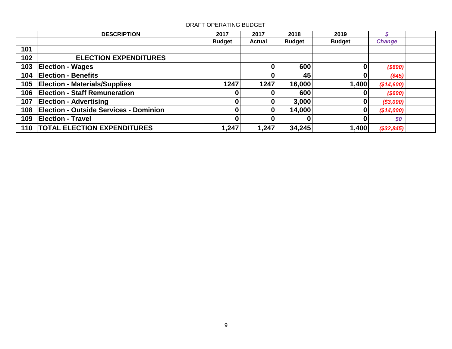|     | <b>DESCRIPTION</b>                            | 2017          | 2017          | 2018          | 2019          |               |  |
|-----|-----------------------------------------------|---------------|---------------|---------------|---------------|---------------|--|
|     |                                               | <b>Budget</b> | <b>Actual</b> | <b>Budget</b> | <b>Budget</b> | <b>Change</b> |  |
| 101 |                                               |               |               |               |               |               |  |
| 102 | <b>ELECTION EXPENDITURES</b>                  |               |               |               |               |               |  |
| 103 | <b>Election - Wages</b>                       |               |               | 600           |               | $($ \$600)    |  |
| 104 | <b>Election - Benefits</b>                    |               |               | 45            | 0             | (\$45)        |  |
| 105 | <b>Election - Materials/Supplies</b>          | 1247          | 1247          | 16,000        | 1,400         | (\$14,600)    |  |
| 106 | <b>Election - Staff Remuneration</b>          |               |               | 600           |               | (\$600)       |  |
| 107 | <b>Election - Advertising</b>                 |               |               | 3,000         | 0             | (\$3,000)     |  |
| 108 | <b>Election - Outside Services - Dominion</b> |               |               | 14,000        | 0             | (\$14,000)    |  |
| 109 | <b>Election - Travel</b>                      |               |               |               |               | \$0           |  |
|     | 110   TOTAL ELECTION EXPENDITURES             | 1,247         | 1,247         | 34,245        | 1,400         | (\$32,845)    |  |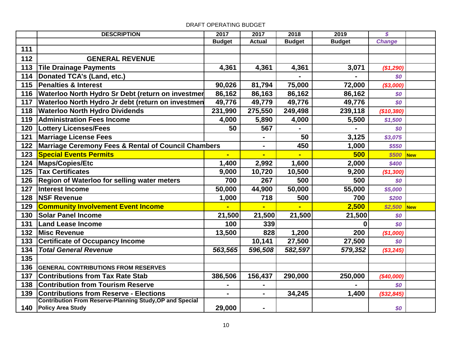|     | <b>DESCRIPTION</b>                                              | 2017          | 2017           | 2018           | 2019          | $\boldsymbol{\mathcal{S}}$ |            |
|-----|-----------------------------------------------------------------|---------------|----------------|----------------|---------------|----------------------------|------------|
|     |                                                                 | <b>Budget</b> | <b>Actual</b>  | <b>Budget</b>  | <b>Budget</b> | <b>Change</b>              |            |
| 111 |                                                                 |               |                |                |               |                            |            |
| 112 | <b>GENERAL REVENUE</b>                                          |               |                |                |               |                            |            |
| 113 | <b>Tile Drainage Payments</b>                                   | 4,361         | 4,361          | 4,361          | 3,071         | (\$1,290)                  |            |
| 114 | Donated TCA's (Land, etc.)                                      |               |                |                |               | \$0                        |            |
| 115 | Penalties & Interest                                            | 90,026        | 81,794         | 75,000         | 72,000        | (\$3,000)                  |            |
| 116 | Waterloo North Hydro Sr Debt (return on investmer               | 86,162        | 86,163         | 86,162         | 86,162        | \$0                        |            |
| 117 | Waterloo North Hydro Jr debt (return on investmen               | 49,776        | 49,779         | 49,776         | 49,776        | \$0                        |            |
| 118 | <b>Waterloo North Hydro Dividends</b>                           | 231,990       | 275,550        | 249,498        | 239,118       | (\$10,380)                 |            |
| 119 | <b>Administration Fees Income</b>                               | 4,000         | 5,890          | 4,000          | 5,500         | \$1,500                    |            |
| 120 | <b>Lottery Licenses/Fees</b>                                    | 50            | 567            |                |               | \$0                        |            |
| 121 | <b>Marriage License Fees</b>                                    |               | $\blacksquare$ | 50             | 3,125         | \$3,075                    |            |
| 122 | Marriage Ceremony Fees & Rental of Council Chambers             |               | $\blacksquare$ | 450            | 1,000         | \$550                      |            |
| 123 | <b>Special Events Permits</b>                                   |               | $\blacksquare$ |                | 500           | \$500                      | <b>New</b> |
| 124 | Maps/Copies/Etc                                                 | 1,400         | 2,992          | 1,600          | 2,000         | \$400                      |            |
| 125 | <b>Tax Certificates</b>                                         | 9,000         | 10,720         | 10,500         | 9,200         | (\$1,300)                  |            |
| 126 | <b>Region of Waterloo for selling water meters</b>              | 700           | 267            | 500            | 500           | \$0                        |            |
| 127 | Interest Income                                                 | 50,000        | 44,900         | 50,000         | 55,000        | \$5,000                    |            |
| 128 | <b>NSF Revenue</b>                                              | 1,000         | 718            | 500            | 700           | \$200                      |            |
| 129 | <b>Community Involvement Event Income</b>                       |               | a.             | $\blacksquare$ | 2,500         | \$2,500                    | New        |
| 130 | <b>Solar Panel Income</b>                                       | 21,500        | 21,500         | 21,500         | 21,500        | \$0                        |            |
| 131 | <b>Land Lease Income</b>                                        | 100           | 339            |                | <sup>0</sup>  | \$0                        |            |
| 132 | <b>Misc Revenue</b>                                             | 13,500        | 828            | 1,200          | 200           | (\$1,000)                  |            |
| 133 | <b>Certificate of Occupancy Income</b>                          |               | 10,141         | 27,500         | 27,500        | \$0                        |            |
| 134 | <b>Total General Revenue</b>                                    | 563,565       | 596,508        | 582,597        | 579,352       | (\$3,245)                  |            |
| 135 |                                                                 |               |                |                |               |                            |            |
| 136 | <b>GENERAL CONTRIBUTIONS FROM RESERVES</b>                      |               |                |                |               |                            |            |
| 137 | <b>Contributions from Tax Rate Stab</b>                         | 386,506       | 156,437        | 290,000        | 250,000       | $(*40,000)$                |            |
| 138 | <b>Contribution from Tourism Reserve</b>                        |               | $\blacksquare$ |                |               | \$0                        |            |
| 139 | <b>Contributions from Reserve - Elections</b>                   |               | $\blacksquare$ | 34,245         | 1,400         | (\$32,845)                 |            |
|     | <b>Contribution From Reserve-Planning Study, OP and Special</b> |               |                |                |               |                            |            |
| 140 | <b>Policy Area Study</b>                                        | 29,000        | ۰              |                |               | \$0                        |            |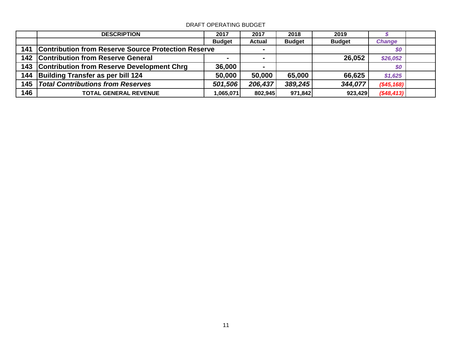|     | <b>DESCRIPTION</b>                                      | 2017          | 2017           | 2018          | 2019          |               |  |
|-----|---------------------------------------------------------|---------------|----------------|---------------|---------------|---------------|--|
|     |                                                         | <b>Budget</b> | <b>Actual</b>  | <b>Budget</b> | <b>Budget</b> | <b>Change</b> |  |
|     | 141 Contribution from Reserve Source Protection Reserve |               |                |               |               | \$0           |  |
|     | 142 Contribution from Reserve General                   |               | ۰.             |               | 26,052        | \$26,052      |  |
|     | 143 Contribution from Reserve Development Chrg          | 36,000        | $\blacksquare$ |               |               | \$0           |  |
|     | 144 Building Transfer as per bill 124                   | 50,000        | 50,000         | 65,000        | 66,625        | \$1,625       |  |
|     | 145   Total Contributions from Reserves                 | 501,506       | 206,437        | 389,245       | 344,077       | $(\$45,168)$  |  |
| 146 | <b>TOTAL GENERAL REVENUE</b>                            | 1,065,071     | 802,945        | 971,842       | 923,429       | (\$48, 413)   |  |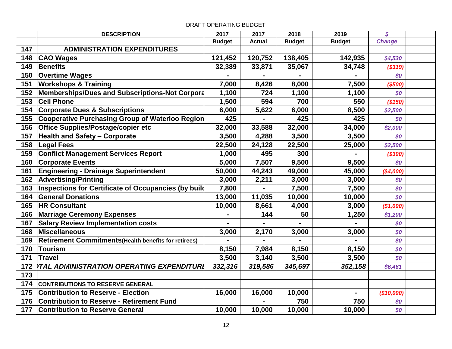# **DESCRIPTION 2017 2017 2018 2019** *\$* **Budget Actual Budget Budget** *Change* **ADMINISTRATION EXPENDITURES CAO Wages 121,452 120,752 138,405 142,935** *\$4,530* **Benefits 32,389 33,871 35,067 34,748** *(\$319)* **Overtime Wages** 50 **100 100 100 100 100 100 100 100 100 100 100 100 100 100 100 100 100 100 100 100 100 100 100 100 100 100 100 100 100 100 100 100 100 Workshops & Training 7,000 8,426 8,000 7,500** *(\$500)* **152 Memberships/Dues and Subscriptions-Not Corporate 1,100 1,100 1,100 1,100 1,100 1,100 Cell Phone 1,500 594 700 550** *(\$150)* **Corporate Dues & Subscriptions 6,000 5,622 6,000 8,500** *\$2,500* Cooperative Purchasing Group of Waterloo Region 425 - 425 425 425 **Office Supplies/Postage/copier etc 32,000 33,588 32,000 34,000** *\$2,000* **Health and Safety – Corporate 3,500 4,288 3,500 3,500** *\$0* **Legal Fees 22,500 24,128 22,500 25,000** *\$2,500* **Conflict Management Services Report 1,000 495 300 -** *(\$300)* **Corporate Events 5,000 7,507 9,500 9,500** *\$0* **Engineering - Drainage Superintendent 50,000 44,243 49,000 45,000** *(\$4,000)* **Advertising/Printing 3,000 2,211 3,000 3,000** *\$0* **Inspections for Certificate of Occupancies (by build 7,800 - 7,500 7,500 7,500 7,500** *\$0*  **General Donations** 13,000 **11,035** 10,000 10,000 50 **HR Consultant 10,000 8,661 4,000 3,000** *(\$1,000)* **Marriage Ceremony Expenses - 144 50 1,250** *\$1,200* **Salary Review Implementation costs - - - -** *\$0* **Miscellaneous 3,000 2,170 3,000 3,000** *\$0* **Retirement Commitments(Health benefits for retirees) - - - -** *\$0* **Tourism 8,150 7,984 8,150 8,150** *\$0* **Travel 3,500 3,140 3,500 3,500** *\$0 332,316 319,586 345,697 352,158 \$6,461 TOTAL ADMINISTRATION OPERATING EXPENDITURES* **CONTRIBUTIONS TO RESERVE GENERAL Contribution to Reserve - Election 16,000 16,000 10,000 -** *(\$10,000)* **176 Contribution to Reserve - Retirement Fund**  $\begin{array}{ccc} 1 & -1 & -750 & 750 \\ - & -1 & 750 & 750 \\ \end{array}$ **Contribution to Reserve General 10,000 | 10,000 | 10,000 | 10,000 | \$0**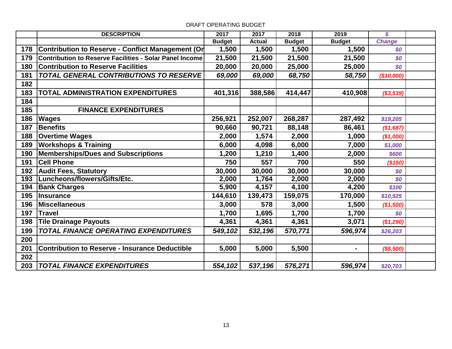|     | <b>DESCRIPTION</b>                                      | 2017          | 2017          | 2018          | 2019           | $\boldsymbol{\mathcal{S}}$ |  |
|-----|---------------------------------------------------------|---------------|---------------|---------------|----------------|----------------------------|--|
|     |                                                         | <b>Budget</b> | <b>Actual</b> | <b>Budget</b> | <b>Budget</b>  | <b>Change</b>              |  |
| 178 | Contribution to Reserve - Conflict Management (Or       | 1,500         | 1,500         | 1,500         | 1,500          | \$0                        |  |
| 179 | Contribution to Reserve Facilities - Solar Panel Income | 21,500        | 21,500        | 21,500        | 21,500         | \$0                        |  |
| 180 | <b>Contribution to Reserve Facilities</b>               | 20,000        | 20,000        | 25,000        | 25,000         | \$0                        |  |
| 181 | <b>TOTAL GENERAL CONTRIBUTIONS TO RESERVE</b>           | 69,000        | 69,000        | 68,750        | 58,750         | (\$10,000)                 |  |
| 182 |                                                         |               |               |               |                |                            |  |
| 183 | TOTAL ADMINISTRATION EXPENDITURES                       | 401,316       | 388,586       | 414,447       | 410,908        | (\$3,539)                  |  |
| 184 |                                                         |               |               |               |                |                            |  |
| 185 | <b>FINANCE EXPENDITURES</b>                             |               |               |               |                |                            |  |
| 186 | <b>Wages</b>                                            | 256,921       | 252,007       | 268,287       | 287,492        | \$19,205                   |  |
| 187 | <b>Benefits</b>                                         | 90,660        | 90,721        | 88,148        | 86,461         | (\$1,687)                  |  |
| 188 | <b>Overtime Wages</b>                                   | 2,000         | 1,574         | 2,000         | 1,000          | (\$1,000)                  |  |
| 189 | <b>Workshops &amp; Training</b>                         | 6,000         | 4,098         | 6,000         | 7,000          | \$1,000                    |  |
| 190 | <b>Memberships/Dues and Subscriptions</b>               | 1,200         | 1,210         | 1,400         | 2,000          | \$600                      |  |
| 191 | <b>Cell Phone</b>                                       | 750           | 557           | 700           | 550            | (\$150)                    |  |
| 192 | <b>Audit Fees, Statutory</b>                            | 30,000        | 30,000        | 30,000        | 30,000         | \$0                        |  |
| 193 | Luncheons/flowers/Gifts/Etc.                            | 2,000         | 1,764         | 2,000         | 2,000          | \$0                        |  |
| 194 | <b>Bank Charges</b>                                     | 5,900         | 4,157         | 4,100         | 4,200          | \$100                      |  |
| 195 | <b>Insurance</b>                                        | 144,610       | 139,473       | 159,075       | 170,000        | \$10,925                   |  |
| 196 | <b>Miscellaneous</b>                                    | 3,000         | 578           | 3,000         | 1,500          | (\$1,500)                  |  |
| 197 | <b>Travel</b>                                           | 1,700         | 1,695         | 1,700         | 1,700          | \$0                        |  |
| 198 | <b>Tile Drainage Payouts</b>                            | 4,361         | 4,361         | 4,361         | 3,071          | (\$1,290)                  |  |
| 199 | TOTAL FINANCE OPERATING EXPENDITURES                    | 549,102       | 532,196       | 570,771       | 596,974        | \$26,203                   |  |
| 200 |                                                         |               |               |               |                |                            |  |
| 201 | <b>Contribution to Reserve - Insurance Deductible</b>   | 5,000         | 5,000         | 5,500         | $\blacksquare$ | (\$5,500)                  |  |
| 202 |                                                         |               |               |               |                |                            |  |
| 203 | <b>TOTAL FINANCE EXPENDITURES</b>                       | 554,102       | 537,196       | 576,271       | 596,974        | \$20,703                   |  |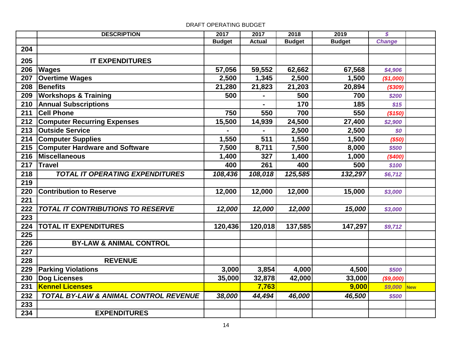|     | <b>DESCRIPTION</b>                       | 2017          | 2017          | 2018          | 2019          | $\boldsymbol{s}$ |            |
|-----|------------------------------------------|---------------|---------------|---------------|---------------|------------------|------------|
|     |                                          | <b>Budget</b> | <b>Actual</b> | <b>Budget</b> | <b>Budget</b> | <b>Change</b>    |            |
| 204 |                                          |               |               |               |               |                  |            |
| 205 | <b>IT EXPENDITURES</b>                   |               |               |               |               |                  |            |
| 206 | <b>Wages</b>                             | 57,056        | 59,552        | 62,662        | 67,568        | \$4,906          |            |
| 207 | <b>Overtime Wages</b>                    | 2,500         | 1,345         | 2,500         | 1,500         | (\$1,000)        |            |
| 208 | <b>Benefits</b>                          | 21,280        | 21,823        | 21,203        | 20,894        | (\$309)          |            |
| 209 | <b>Workshops &amp; Training</b>          | 500           |               | 500           | 700           | \$200            |            |
| 210 | <b>Annual Subscriptions</b>              |               |               | 170           | 185           | \$15             |            |
| 211 | <b>Cell Phone</b>                        | 750           | 550           | 700           | 550           | (\$150)          |            |
| 212 | <b>Computer Recurring Expenses</b>       | 15,500        | 14,939        | 24,500        | 27,400        | \$2,900          |            |
|     | 213 Outside Service                      |               |               | 2,500         | 2,500         | \$0              |            |
| 214 | <b>Computer Supplies</b>                 | 1,550         | 511           | 1,550         | 1,500         | (\$50)           |            |
|     | 215 Computer Hardware and Software       | 7,500         | 8,711         | 7,500         | 8,000         | \$500            |            |
| 216 | <b>Miscellaneous</b>                     | 1,400         | 327           | 1,400         | 1,000         | (\$400)          |            |
| 217 | <b>Travel</b>                            | 400           | 261           | 400           | 500           | \$100            |            |
| 218 | <b>TOTAL IT OPERATING EXPENDITURES</b>   | 108,436       | 108,018       | 125,585       | 132,297       | \$6,712          |            |
| 219 |                                          |               |               |               |               |                  |            |
| 220 | <b>Contribution to Reserve</b>           | 12,000        | 12,000        | 12,000        | 15,000        | \$3,000          |            |
| 221 |                                          |               |               |               |               |                  |            |
| 222 | <b>TOTAL IT CONTRIBUTIONS TO RESERVE</b> | 12,000        | 12,000        | 12,000        | 15,000        | \$3,000          |            |
| 223 |                                          |               |               |               |               |                  |            |
| 224 | <b>TOTAL IT EXPENDITURES</b>             | 120,436       | 120,018       | 137,585       | 147,297       | \$9,712          |            |
| 225 |                                          |               |               |               |               |                  |            |
| 226 | <b>BY-LAW &amp; ANIMAL CONTROL</b>       |               |               |               |               |                  |            |
| 227 |                                          |               |               |               |               |                  |            |
| 228 | <b>REVENUE</b>                           |               |               |               |               |                  |            |
| 229 | <b>Parking Violations</b>                | 3,000         | 3,854         | 4,000         | 4,500         | \$500            |            |
| 230 | <b>Dog Licenses</b>                      | 35,000        | 32,878        | 42,000        | 33,000        | (\$9,000)        |            |
| 231 | <b>Kennel Licenses</b>                   |               | 7,763         |               | 9,000         | \$9,000          | <b>New</b> |
| 232 | TOTAL BY-LAW & ANIMAL CONTROL REVENUE    | 38,000        | 44,494        | 46,000        | 46,500        | \$500            |            |
| 233 |                                          |               |               |               |               |                  |            |
| 234 | <b>EXPENDITURES</b>                      |               |               |               |               |                  |            |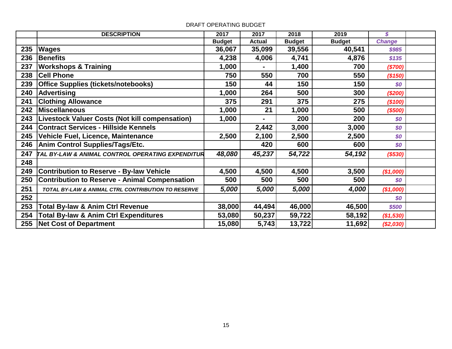|     | <b>DESCRIPTION</b>                                    | 2017          | 2017          | 2018          | 2019          | \$            |  |
|-----|-------------------------------------------------------|---------------|---------------|---------------|---------------|---------------|--|
|     |                                                       | <b>Budget</b> | <b>Actual</b> | <b>Budget</b> | <b>Budget</b> | <b>Change</b> |  |
| 235 | <b>Wages</b>                                          | 36,067        | 35,099        | 39,556        | 40,541        | \$985         |  |
| 236 | <b>Benefits</b>                                       | 4,238         | 4,006         | 4,741         | 4,876         | \$135         |  |
| 237 | <b>Workshops &amp; Training</b>                       | 1,000         |               | 1,400         | 700           | (\$700)       |  |
| 238 | <b>Cell Phone</b>                                     | 750           | 550           | 700           | 550           | (\$150)       |  |
| 239 | <b>Office Supplies (tickets/notebooks)</b>            | 150           | 44            | 150           | 150           | \$0           |  |
| 240 | Advertising                                           | 1,000         | 264           | 500           | 300           | (\$200)       |  |
| 241 | <b>Clothing Allowance</b>                             | 375           | 291           | 375           | 275           | (\$100)       |  |
| 242 | <b>Miscellaneous</b>                                  | 1,000         | 21            | 1,000         | 500           | (\$500)       |  |
| 243 | <b>Livestock Valuer Costs (Not kill compensation)</b> | 1,000         |               | 200           | 200           | \$0           |  |
| 244 | <b>Contract Services - Hillside Kennels</b>           |               | 2,442         | 3,000         | 3,000         | \$0           |  |
| 245 | Vehicle Fuel, Licence, Maintenance                    | 2,500         | 2,100         | 2,500         | 2,500         | \$0           |  |
| 246 | <b>Anim Control Supplies/Tags/Etc.</b>                |               | 420           | 600           | 600           | \$0           |  |
| 247 | TAL BY-LAW & ANIMAL CONTROL OPERATING EXPENDITUR      | 48,080        | 45,237        | 54,722        | 54,192        | ( \$530)      |  |
| 248 |                                                       |               |               |               |               |               |  |
| 249 | <b>Contribution to Reserve - By-law Vehicle</b>       | 4,500         | 4,500         | 4,500         | 3,500         | (\$1,000)     |  |
| 250 | <b>Contribution to Reserve - Animal Compensation</b>  | 500           | 500           | 500           | 500           | \$0           |  |
| 251 | TOTAL BY-LAW & ANIMAL CTRL CONTRIBUTION TO RESERVE    | 5,000         | 5,000         | 5,000         | 4,000         | (\$1,000)     |  |
| 252 |                                                       |               |               |               |               | \$0           |  |
| 253 | <b>Total By-law &amp; Anim Ctrl Revenue</b>           | 38,000        | 44,494        | 46,000        | 46,500        | \$500         |  |
| 254 | <b>Total By-law &amp; Anim Ctrl Expenditures</b>      | 53,080        | 50,237        | 59,722        | 58,192        | (\$1,530)     |  |
| 255 | <b>Net Cost of Department</b>                         | 15,080        | 5,743         | 13,722        | 11,692        | (\$2,030)     |  |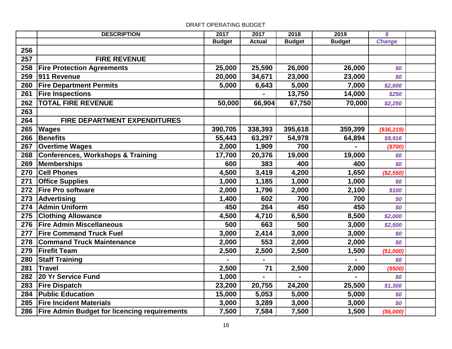|     | <b>DESCRIPTION</b>                                  | 2017          | 2017          | 2018          | 2019          | $\boldsymbol{s}$ |  |
|-----|-----------------------------------------------------|---------------|---------------|---------------|---------------|------------------|--|
|     |                                                     | <b>Budget</b> | <b>Actual</b> | <b>Budget</b> | <b>Budget</b> | <b>Change</b>    |  |
| 256 |                                                     |               |               |               |               |                  |  |
| 257 | <b>FIRE REVENUE</b>                                 |               |               |               |               |                  |  |
| 258 | <b>Fire Protection Agreements</b>                   | 25,000        | 25,590        | 26,000        | 26,000        | \$0              |  |
| 259 | 911 Revenue                                         | 20,000        | 34,671        | 23,000        | 23,000        | \$0              |  |
| 260 | <b>Fire Department Permits</b>                      | 5,000         | 6,643         | 5,000         | 7,000         | \$2,000          |  |
| 261 | <b>Fire Inspections</b>                             |               |               | 13,750        | 14,000        | \$250            |  |
| 262 | <b>TOTAL FIRE REVENUE</b>                           | 50,000        | 66,904        | 67,750        | 70,000        | \$2,250          |  |
| 263 |                                                     |               |               |               |               |                  |  |
| 264 | FIRE DEPARTMENT EXPENDITURES                        |               |               |               |               |                  |  |
| 265 | <b>Wages</b>                                        | 390,705       | 338,393       | 395,618       | 359,399       | (\$36,219)       |  |
| 266 | Benefits                                            | 55,443        | 63,297        | 54,978        | 64,894        | \$9,916          |  |
| 267 | <b>Overtime Wages</b>                               | 2,000         | 1,909         | 700           |               | (\$700)          |  |
| 268 | Conferences, Workshops & Training                   | 17,700        | 20,376        | 19,000        | 19,000        | \$0              |  |
| 269 | Memberships                                         | 600           | 383           | 400           | 400           | \$0              |  |
| 270 | <b>Cell Phones</b>                                  | 4,500         | 3,419         | 4,200         | 1,650         | (\$2,550)        |  |
| 271 | <b>Office Supplies</b>                              | 1,000         | 1,185         | 1,000         | 1,000         | \$0              |  |
| 272 | <b>Fire Pro software</b>                            | 2,000         | 1,796         | 2,000         | 2,100         | \$100            |  |
| 273 | Advertising                                         | 1,400         | 602           | 700           | 700           | \$0              |  |
| 274 | <b>Admin Uniform</b>                                | 450           | 264           | 450           | 450           | \$0              |  |
| 275 | <b>Clothing Allowance</b>                           | 4,500         | 4,710         | 6,500         | 8,500         | \$2,000          |  |
| 276 | <b>Fire Admin Miscellaneous</b>                     | 500           | 663           | 500           | 3,000         | \$2,500          |  |
| 277 | <b>Fire Command Truck Fuel</b>                      | 3,000         | 2,414         | 3,000         | 3,000         | \$0              |  |
| 278 | <b>Command Truck Maintenance</b>                    | 2,000         | 553           | 2,000         | 2,000         | \$0              |  |
| 279 | <b>Firefit Team</b>                                 | 2,500         | 2,500         | 2,500         | 1,500         | (\$1,000)        |  |
| 280 | <b>Staff Training</b>                               |               |               |               |               | \$0              |  |
| 281 | <b>Travel</b>                                       | 2,500         | 71            | 2,500         | 2,000         | ( \$500]         |  |
| 282 | 20 Yr Service Fund                                  | 1,000         |               |               |               | \$0              |  |
| 283 | <b>Fire Dispatch</b>                                | 23,200        | 20,755        | 24,200        | 25,500        | \$1,300          |  |
| 284 | <b>Public Education</b>                             | 15,000        | 5,053         | 5,000         | 5,000         | \$0              |  |
| 285 | <b>Fire Incident Materials</b>                      | 3,000         | 3,289         | 3,000         | 3,000         | \$0              |  |
| 286 | <b>Fire Admin Budget for licencing requirements</b> | 7,500         | 7,584         | 7,500         | 1,500         | ( \$6,000]       |  |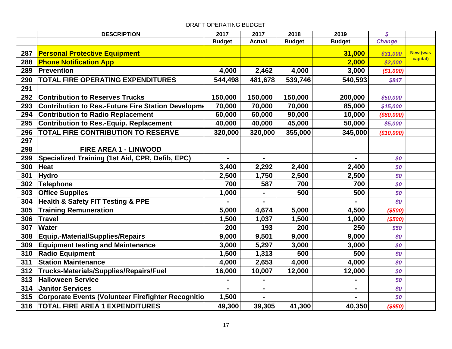|     | <b>DESCRIPTION</b>                                 | 2017          | 2017           | 2018          | 2019          | $\boldsymbol{s}$ |                 |
|-----|----------------------------------------------------|---------------|----------------|---------------|---------------|------------------|-----------------|
|     |                                                    | <b>Budget</b> | <b>Actual</b>  | <b>Budget</b> | <b>Budget</b> | <b>Change</b>    |                 |
| 287 | <b>Personal Protective Equipment</b>               |               |                |               | 31,000        | \$31,000         | <b>New (was</b> |
| 288 | <b>Phone Notification App</b>                      |               |                |               | 2,000         | \$2,000          | capital)        |
| 289 | Prevention                                         | 4,000         | 2,462          | 4,000         | 3,000         | (\$1,000)        |                 |
| 290 | <b>TOTAL FIRE OPERATING EXPENDITURES</b>           | 544,498       | 481,678        | 539,746       | 540,593       | \$847            |                 |
| 291 |                                                    |               |                |               |               |                  |                 |
| 292 | <b>Contribution to Reserves Trucks</b>             | 150,000       | 150,000        | 150,000       | 200,000       | \$50,000         |                 |
| 293 | Contribution to Res.-Future Fire Station Developme | 70,000        | 70,000         | 70,000        | 85,000        | \$15,000         |                 |
| 294 | <b>Contribution to Radio Replacement</b>           | 60,000        | 60,000         | 90,000        | 10,000        | (\$80,000)       |                 |
| 295 | Contribution to Res.-Equip. Replacement            | 40,000        | 40,000         | 45,000        | 50,000        | \$5,000          |                 |
| 296 | <b>TOTAL FIRE CONTRIBUTION TO RESERVE</b>          | 320,000       | 320,000        | 355,000       | 345,000       | (\$10,000)       |                 |
| 297 |                                                    |               |                |               |               |                  |                 |
| 298 | FIRE AREA 1 - LINWOOD                              |               |                |               |               |                  |                 |
| 299 | Specialized Training (1st Aid, CPR, Defib, EPC)    |               |                |               |               | \$0              |                 |
| 300 | <b>Heat</b>                                        | 3,400         | 2,292          | 2,400         | 2,400         | \$0              |                 |
| 301 | <b>Hydro</b>                                       | 2,500         | 1,750          | 2,500         | 2,500         | \$0              |                 |
| 302 | Telephone                                          | 700           | 587            | 700           | 700           | \$0              |                 |
| 303 | <b>Office Supplies</b>                             | 1,000         | $\blacksquare$ | 500           | 500           | \$0              |                 |
| 304 | <b>Health &amp; Safety FIT Testing &amp; PPE</b>   |               |                |               |               | \$0              |                 |
| 305 | <b>Training Remuneration</b>                       | 5,000         | 4,674          | 5,000         | 4,500         | (\$500)          |                 |
| 306 | <b>Travel</b>                                      | 1,500         | 1,037          | 1,500         | 1,000         | ( \$500]         |                 |
| 307 | <b>Water</b>                                       | 200           | 193            | 200           | 250           | \$50             |                 |
| 308 | Equip.-Material/Supplies/Repairs                   | 9,000         | 9,501          | 9,000         | 9,000         | \$0              |                 |
| 309 | <b>Equipment testing and Maintenance</b>           | 3,000         | 5,297          | 3,000         | 3,000         | \$0              |                 |
| 310 | <b>Radio Equipment</b>                             | 1,500         | 1,313          | 500           | 500           | \$0              |                 |
| 311 | <b>Station Maintenance</b>                         | 4,000         | 2,653          | 4,000         | 4,000         | \$0              |                 |
| 312 | Trucks-Materials/Supplies/Repairs/Fuel             | 16,000        | 10,007         | 12,000        | 12,000        | \$0              |                 |
| 313 | <b>Halloween Service</b>                           |               | $\blacksquare$ |               |               | \$0              |                 |
| 314 | <b>Janitor Services</b>                            |               | $\blacksquare$ |               |               | \$0              |                 |
| 315 | Corporate Events (Volunteer Firefighter Recognitio | 1,500         |                |               |               | \$0              |                 |
| 316 | <b>TOTAL FIRE AREA 1 EXPENDITURES</b>              | 49,300        | 39,305         | 41,300        | 40,350        | (\$950)          |                 |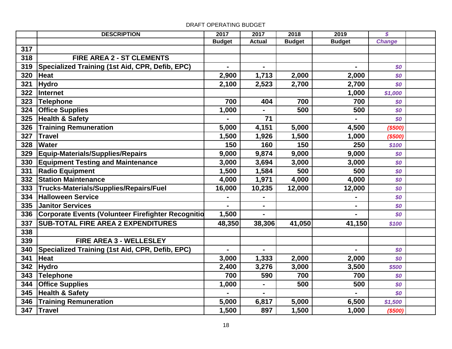# **DESCRIPTION 2017 2017 2018 2019** *\$* **Budget Actual Budget Budget** *Change* **FIRE AREA 2 - ST CLEMENTS 319 Specialized Training (1st Aid, CPR, Defib, EPC)**  $\vert$  **-**  $\vert$  **-**  $\vert$  **-**  $\vert$  **-**  $\vert$  **-**  $\vert$  **-**  $\vert$  **-**  $\vert$  **Heat 2,900 1,713 2,000 2,000** *\$0* **Hydro 2,100 2,523 2,700 2,700** *\$0* **Internet 1,000** *\$1,000* **Telephone 700 404 700 700** *\$0* **Office Supplies** 1,000 - 500 500 500 500 **Health & Safety - 71 -** *\$0* **Training Remuneration 5,000 4,151 5,000 4,500** *(\$500)* **Travel 1,500 1,926 1,500 1,000** *(\$500)* **Water 150 160 150 250** *\$100* **Equip-Materials/Supplies/Repairs 9,000 9,874 9,000 9,000** *\$0* **Equipment Testing and Maintenance 3,000 3,694 3,000 3,000** *\$0* **Radio Equipment** 500 **1,500 1,584** 500 **500** 500 **Station Maintenance** 1 **4,000** 1,971 4,000 4,000 50 **Trucks-Materials/Supplies/Repairs/Fuel 16,000 10,235 12,000 12,000** *\$0* **Halloween Service** 5 **1999 1999 1999 1999 1999 1999 1999 1999 1999 1999 1999 1999 1999 1999 Janitor Services - - -** *\$0* **Corporate Events (Volunteer Firefighter Recognition) 1,500 - -** *\$0* **SUB-TOTAL FIRE AREA 2 EXPENDITURES 48,350 38,306 41,050 41,150** *\$100* **FIRE AREA 3 - WELLESLEY 340 Specialized Training (1st Aid, CPR, Defib, EPC)**  $\vert$  **-**  $\vert$  **-**  $\vert$  **-**  $\vert$  **-**  $\vert$  **-**  $\vert$  **50 Heat 3,000 1,333 2,000 2,000** *\$0* **Hydro 2,400 3,276 3,000 3,500** *\$500* **Telephone 700 590 700 700** *\$0* **Office Supplies 1,000** - 1,000 - 500 500 **Health & Safety - - -** *\$0* **Training Remuneration 5,000 6,817 5,000 6,500** *\$1,500* **Travel 1,500 897 1,500 1,000** *(\$500)*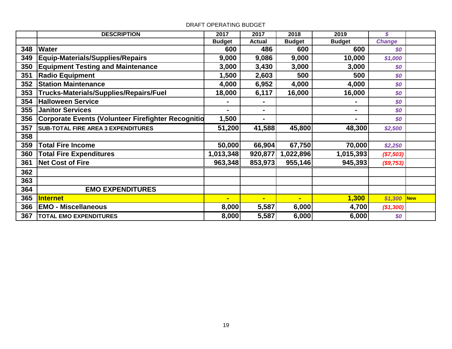|     | <b>DESCRIPTION</b>                                        | 2017           | 2017           | 2018          | 2019           | $\mathcal{S}$ |            |
|-----|-----------------------------------------------------------|----------------|----------------|---------------|----------------|---------------|------------|
|     |                                                           | <b>Budget</b>  | <b>Actual</b>  | <b>Budget</b> | <b>Budget</b>  | <b>Change</b> |            |
| 348 | <b>Water</b>                                              | 600            | 486            | 600           | 600            | \$0           |            |
| 349 | Equip-Materials/Supplies/Repairs                          | 9,000          | 9,086          | 9,000         | 10,000         | \$1,000       |            |
| 350 | <b>Equipment Testing and Maintenance</b>                  | 3,000          | 3,430          | 3,000         | 3,000          | \$0           |            |
| 351 | <b>Radio Equipment</b>                                    | 1,500          | 2,603          | 500           | 500            | \$0           |            |
| 352 | <b>Station Maintenance</b>                                | 4,000          | 6,952          | 4,000         | 4,000          | \$0           |            |
| 353 | Trucks-Materials/Supplies/Repairs/Fuel                    | 18,000         | 6,117          | 16,000        | 16,000         | \$0           |            |
| 354 | <b>Halloween Service</b>                                  | $\blacksquare$ | ۰              |               |                | \$0           |            |
| 355 | <b>Janitor Services</b>                                   | $\blacksquare$ | ۰              |               | ٠              | \$0           |            |
| 356 | <b>Corporate Events (Volunteer Firefighter Recognitio</b> | 1,500          | $\blacksquare$ |               | $\blacksquare$ | \$0           |            |
| 357 | <b>SUB-TOTAL FIRE AREA 3 EXPENDITURES</b>                 | 51,200         | 41,588         | 45,800        | 48,300         | \$2,500       |            |
| 358 |                                                           |                |                |               |                |               |            |
| 359 | <b>Total Fire Income</b>                                  | 50,000         | 66,904         | 67,750        | 70,000         | \$2,250       |            |
| 360 | <b>Total Fire Expenditures</b>                            | 1,013,348      | 920,877        | 1,022,896     | 1,015,393      | (\$7,503)     |            |
| 361 | <b>Net Cost of Fire</b>                                   | 963,348        | 853,973        | 955,146       | 945,393        | ( \$9,753)    |            |
| 362 |                                                           |                |                |               |                |               |            |
| 363 |                                                           |                |                |               |                |               |            |
| 364 | <b>EMO EXPENDITURES</b>                                   |                |                |               |                |               |            |
| 365 | <b>Internet</b>                                           | $\blacksquare$ | $\blacksquare$ | Ξ             | 1,300          | \$1,300       | <b>New</b> |
| 366 | <b>EMO - Miscellaneous</b>                                | 8,000          | 5,587          | 6,000         | 4,700          | (\$1,300)     |            |
| 367 | <b>TOTAL EMO EXPENDITURES</b>                             | 8,000          | 5,587          | 6,000         | 6,000          | \$0           |            |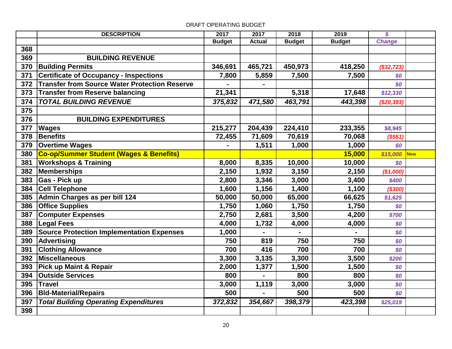|     | <b>DESCRIPTION</b>                                   | 2017          | 2017          | 2018          | 2019          | $\boldsymbol{s}$ |            |
|-----|------------------------------------------------------|---------------|---------------|---------------|---------------|------------------|------------|
|     |                                                      | <b>Budget</b> | <b>Actual</b> | <b>Budget</b> | <b>Budget</b> | <b>Change</b>    |            |
| 368 |                                                      |               |               |               |               |                  |            |
| 369 | <b>BUILDING REVENUE</b>                              |               |               |               |               |                  |            |
| 370 | <b>Building Permits</b>                              | 346,691       | 465,721       | 450,973       | 418,250       | (\$32, 723)      |            |
| 371 | <b>Certificate of Occupancy - Inspections</b>        | 7,800         | 5,859         | 7,500         | 7,500         | \$0              |            |
| 372 | <b>Transfer from Source Water Protection Reserve</b> |               |               |               |               | \$0              |            |
| 373 | Transfer from Reserve balancing                      | 21,341        |               | 5,318         | 17,648        | \$12,330         |            |
| 374 | <b>TOTAL BUILDING REVENUE</b>                        | 375,832       | 471,580       | 463,791       | 443,398       | (\$20,393)       |            |
| 375 |                                                      |               |               |               |               |                  |            |
| 376 | <b>BUILDING EXPENDITURES</b>                         |               |               |               |               |                  |            |
| 377 | <b>Wages</b>                                         | 215,277       | 204,439       | 224,410       | 233,355       | \$8,945          |            |
| 378 | <b>Benefits</b>                                      | 72,455        | 71,609        | 70,619        | 70,068        | (\$551)          |            |
| 379 | <b>Overtime Wages</b>                                |               | 1,511         | 1,000         | 1,000         | SO               |            |
| 380 | <b>Co-op/Summer Student (Wages &amp; Benefits)</b>   |               |               |               | 15,000        | \$15,000         | <b>New</b> |
| 381 | <b>Workshops &amp; Training</b>                      | 8,000         | 8,335         | 10,000        | 10,000        | \$0              |            |
| 382 | Memberships                                          | 2,150         | 1,932         | 3,150         | 2,150         | (\$1,000)        |            |
| 383 | Gas - Pick up                                        | 2,800         | 3,346         | 3,000         | 3,400         | \$400            |            |
| 384 | <b>Cell Telephone</b>                                | 1,600         | 1,156         | 1,400         | 1,100         | ( \$300]         |            |
| 385 | Admin Charges as per bill 124                        | 50,000        | 50,000        | 65,000        | 66,625        | \$1,625          |            |
|     | 386 Office Supplies                                  | 1,750         | 1,060         | 1,750         | 1,750         | \$0              |            |
| 387 | <b>Computer Expenses</b>                             | 2,750         | 2,681         | 3,500         | 4,200         | \$700            |            |
| 388 | <b>Legal Fees</b>                                    | 4,000         | 1,732         | 4,000         | 4,000         | \$0              |            |
| 389 | Source Protection Implementation Expenses            | 1,000         |               |               |               | \$0              |            |
| 390 | Advertising                                          | 750           | 819           | 750           | 750           | \$0              |            |
| 391 | <b>Clothing Allowance</b>                            | 700           | 416           | 700           | 700           | \$0              |            |
| 392 | <b>Miscellaneous</b>                                 | 3,300         | 3,135         | 3,300         | 3,500         | \$200            |            |
| 393 | <b>Pick up Maint &amp; Repair</b>                    | 2,000         | 1,377         | 1,500         | 1,500         | \$0              |            |
| 394 | <b>Outside Services</b>                              | 800           |               | 800           | 800           | \$0              |            |
| 395 | <b>Travel</b>                                        | 3,000         | 1,119         | 3,000         | 3,000         | \$0              |            |
| 396 | <b>BId-Material/Repairs</b>                          | 500           |               | 500           | 500           | SO               |            |
| 397 | <b>Total Building Operating Expenditures</b>         | 372,832       | 354,667       | 398,379       | 423,398       | \$25,019         |            |
| 398 |                                                      |               |               |               |               |                  |            |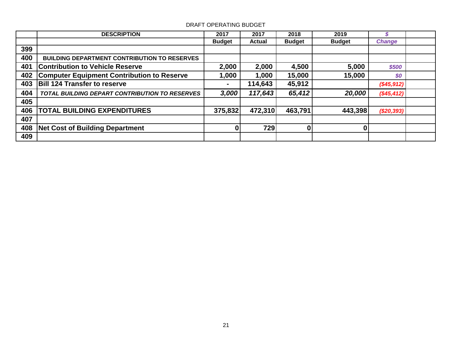|     | <b>DESCRIPTION</b>                                    | 2017          | 2017    | 2018          | 2019          |                   |  |
|-----|-------------------------------------------------------|---------------|---------|---------------|---------------|-------------------|--|
|     |                                                       | <b>Budget</b> | Actual  | <b>Budget</b> | <b>Budget</b> | <b>Change</b>     |  |
| 399 |                                                       |               |         |               |               |                   |  |
| 400 | <b>BUILDING DEPARTMENT CONTRIBUTION TO RESERVES</b>   |               |         |               |               |                   |  |
| 401 | <b>Contribution to Vehicle Reserve</b>                | 2,000         | 2,000   | 4,500         | 5,000         | \$500             |  |
| 402 | <b>Computer Equipment Contribution to Reserve</b>     | 1,000         | 1,000   | 15,000        | 15,000        | \$0               |  |
| 403 | <b>Bill 124 Transfer to reserve</b>                   |               | 114,643 | 45,912        |               | $($ \$45,912) $ $ |  |
| 404 | <b>TOTAL BUILDING DEPART CONTRIBUTION TO RESERVES</b> | 3,000         | 117,643 | 65,412        | 20,000        | $(\$45,412)$      |  |
| 405 |                                                       |               |         |               |               |                   |  |
| 406 | <b>TOTAL BUILDING EXPENDITURES</b>                    | 375,832       | 472,310 | 463,791       | 443,398       | $(\$20,393)$      |  |
| 407 |                                                       |               |         |               |               |                   |  |
| 408 | <b>Net Cost of Building Department</b>                | 0             | 729     | $\mathbf{0}$  | $\Omega$      |                   |  |
| 409 |                                                       |               |         |               |               |                   |  |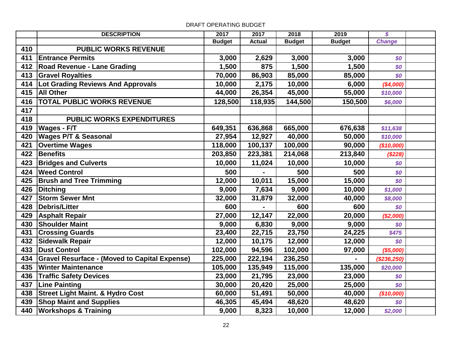|     | <b>DESCRIPTION</b>                                   | 2017          | 2017          | 2018          | $\frac{1}{2019}$ | $\boldsymbol{\mathcal{S}}$ |  |
|-----|------------------------------------------------------|---------------|---------------|---------------|------------------|----------------------------|--|
|     |                                                      | <b>Budget</b> | <b>Actual</b> | <b>Budget</b> | <b>Budget</b>    | <b>Change</b>              |  |
| 410 | <b>PUBLIC WORKS REVENUE</b>                          |               |               |               |                  |                            |  |
| 411 | <b>Entrance Permits</b>                              | 3,000         | 2,629         | 3,000         | 3,000            | \$0                        |  |
| 412 | <b>Road Revenue - Lane Grading</b>                   | 1,500         | 875           | 1,500         | 1,500            | \$0                        |  |
| 413 | <b>Gravel Royalties</b>                              | 70,000        | 86,903        | 85,000        | 85,000           | \$0                        |  |
| 414 | Lot Grading Reviews And Approvals                    | 10,000        | 2,175         | 10,000        | 6,000            | (\$4,000)                  |  |
| 415 | <b>All Other</b>                                     | 44,000        | 26,354        | 45,000        | 55,000           | \$10,000                   |  |
| 416 | <b>TOTAL PUBLIC WORKS REVENUE</b>                    | 128,500       | 118,935       | 144,500       | 150,500          | \$6,000                    |  |
| 417 |                                                      |               |               |               |                  |                            |  |
| 418 | <b>PUBLIC WORKS EXPENDITURES</b>                     |               |               |               |                  |                            |  |
| 419 | <b>Wages - F/T</b>                                   | 649,351       | 636,868       | 665,000       | 676,638          | \$11,638                   |  |
| 420 | <b>Wages P/T &amp; Seasonal</b>                      | 27,954        | 12,927        | 40,000        | 50,000           | \$10,000                   |  |
| 421 | <b>Overtime Wages</b>                                | 118,000       | 100,137       | 100,000       | 90,000           | (\$10,000)                 |  |
| 422 | Benefits                                             | 203,850       | 223,381       | 214,068       | 213,840          | (\$228)                    |  |
| 423 | <b>Bridges and Culverts</b>                          | 10,000        | 11,024        | 10,000        | 10,000           | \$0                        |  |
| 424 | <b>Weed Control</b>                                  | 500           |               | 500           | 500              | \$0                        |  |
| 425 | <b>Brush and Tree Trimming</b>                       | 12,000        | 10,011        | 15,000        | 15,000           | \$0                        |  |
| 426 | Ditching                                             | 9,000         | 7,634         | 9,000         | 10,000           | \$1,000                    |  |
| 427 | <b>Storm Sewer Mnt</b>                               | 32,000        | 31,879        | 32,000        | 40,000           | \$8,000                    |  |
| 428 | Debris/Litter                                        | 600           |               | 600           | 600              | \$0                        |  |
| 429 | <b>Asphalt Repair</b>                                | 27,000        | 12,147        | 22,000        | 20,000           | (\$2,000)                  |  |
| 430 | <b>Shoulder Maint</b>                                | 9,000         | 6,830         | 9,000         | 9,000            | \$0                        |  |
| 431 | <b>Crossing Guards</b>                               | 23,400        | 22,715        | 23,750        | 24,225           | \$475                      |  |
| 432 | <b>Sidewalk Repair</b>                               | 12,000        | 10,175        | 12,000        | 12,000           | \$0                        |  |
| 433 | <b>Dust Control</b>                                  | 102,000       | 94,596        | 102,000       | 97,000           | (\$5,000)                  |  |
| 434 | <b>Gravel Resurface - (Moved to Capital Expense)</b> | 225,000       | 222,194       | 236,250       |                  | (\$236,250)                |  |
| 435 | <b>Winter Maintenance</b>                            | 105,000       | 135,949       | 115,000       | 135,000          | \$20,000                   |  |
| 436 | <b>Traffic Safety Devices</b>                        | 23,000        | 21,795        | 23,000        | 23,000           | \$0                        |  |
| 437 | <b>Line Painting</b>                                 | 30,000        | 20,420        | 25,000        | 25,000           | \$0                        |  |
| 438 | <b>Street Light Maint. &amp; Hydro Cost</b>          | 60,000        | 51,491        | 50,000        | 40,000           | (\$10,000)                 |  |
| 439 | <b>Shop Maint and Supplies</b>                       | 46,305        | 45,494        | 48,620        | 48,620           | \$0                        |  |
| 440 | <b>Workshops &amp; Training</b>                      | 9,000         | 8,323         | 10,000        | 12,000           | \$2,000                    |  |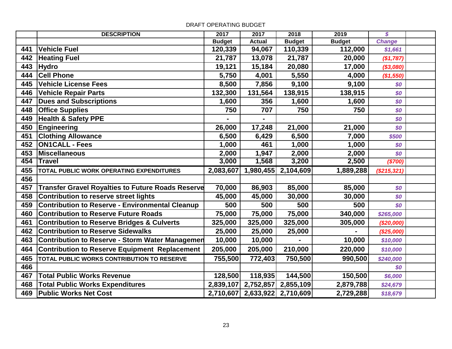|     | <b>DESCRIPTION</b>                                       | 2017          | 2017          | 2018          | 2019          | \$            |  |
|-----|----------------------------------------------------------|---------------|---------------|---------------|---------------|---------------|--|
|     |                                                          | <b>Budget</b> | <b>Actual</b> | <b>Budget</b> | <b>Budget</b> | <b>Change</b> |  |
| 441 | <b>Vehicle Fuel</b>                                      | 120,339       | 94,067        | 110,339       | 112,000       | \$1,661       |  |
| 442 | <b>Heating Fuel</b>                                      | 21,787        | 13,078        | 21,787        | 20,000        | (\$1,787)     |  |
| 443 | <b>Hydro</b>                                             | 19,121        | 15,184        | 20,080        | 17,000        | (\$3,080)     |  |
| 444 | <b>Cell Phone</b>                                        | 5,750         | 4,001         | 5,550         | 4,000         | (\$1,550)     |  |
| 445 | <b>Vehicle License Fees</b>                              | 8,500         | 7,856         | 9,100         | 9,100         | \$0           |  |
| 446 | <b>Vehicle Repair Parts</b>                              | 132,300       | 131,564       | 138,915       | 138,915       | \$0           |  |
| 447 | <b>Dues and Subscriptions</b>                            | 1,600         | 356           | 1,600         | 1,600         | \$0           |  |
| 448 | <b>Office Supplies</b>                                   | 750           | 707           | 750           | 750           | \$0           |  |
| 449 | <b>Health &amp; Safety PPE</b>                           |               |               |               |               | \$0           |  |
| 450 | Engineering                                              | 26,000        | 17,248        | 21,000        | 21,000        | \$0           |  |
| 451 | <b>Clothing Allowance</b>                                | 6,500         | 6,429         | 6,500         | 7,000         | \$500         |  |
| 452 | <b>ON1CALL - Fees</b>                                    | 1,000         | 461           | 1,000         | 1,000         | \$0           |  |
| 453 | <b>Miscellaneous</b>                                     | 2,000         | 1,947         | 2,000         | 2,000         | \$0           |  |
| 454 | <b>Travel</b>                                            | 3,000         | 1,568         | 3,200         | 2,500         | (\$700)       |  |
| 455 | TOTAL PUBLIC WORK OPERATING EXPENDITURES                 | 2,083,607     | 1,980,455     | 2,104,609     | 1,889,288     | (\$215,321)   |  |
| 456 |                                                          |               |               |               |               |               |  |
| 457 | <b>Transfer Gravel Royalties to Future Roads Reserve</b> | 70,000        | 86,903        | 85,000        | 85,000        | \$0           |  |
| 458 | <b>Contribution to reserve street lights</b>             | 45,000        | 45,000        | 30,000        | 30,000        | \$0           |  |
| 459 | <b>Contribution to Reserve - Environmental Cleanup</b>   | 500           | 500           | 500           | 500           | \$0           |  |
| 460 | <b>Contribution to Reserve Future Roads</b>              | 75,000        | 75,000        | 75,000        | 340,000       | \$265,000     |  |
| 461 | <b>Contribution to Reserve Bridges &amp; Culverts</b>    | 325,000       | 325,000       | 325,000       | 305,000       | (\$20,000)    |  |
| 462 | <b>Contribution to Reserve Sidewalks</b>                 | 25,000        | 25,000        | 25,000        |               | (\$25,000)    |  |
| 463 | Contribution to Reserve - Storm Water Managemen          | 10,000        | 10,000        |               | 10,000        | \$10,000      |  |
| 464 | <b>Contribution to Reserve Equipment Replacement</b>     | 205,000       | 205,000       | 210,000       | 220,000       | \$10,000      |  |
| 465 | TOTAL PUBLIC WORKS CONTRIBUTION TO RESERVE               | 755,500       | 772,403       | 750,500       | 990,500       | \$240,000     |  |
| 466 |                                                          |               |               |               |               | \$0           |  |
| 467 | <b>Total Public Works Revenue</b>                        | 128,500       | 118,935       | 144,500       | 150,500       | \$6,000       |  |
| 468 | <b>Total Public Works Expenditures</b>                   | 2,839,107     | 2,752,857     | 2,855,109     | 2,879,788     | \$24,679      |  |
| 469 | <b>Public Works Net Cost</b>                             | 2,710,607     | 2,633,922     | 2,710,609     | 2,729,288     | \$18,679      |  |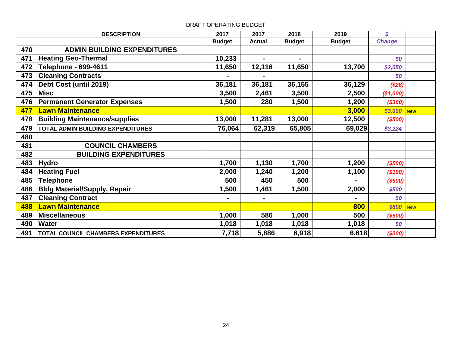# **DESCRIPTION 2017 2017 2018 2019** *\$* **Budget Actual Budget Budget** *Change* **ADMIN BUILDING EXPENDITURES Heating Geo-Thermal 10,233 - -** *\$0* **Telephone - 699-4611 11,650 12,116 11,650 13,700** *\$2,050* **Cleaning Contracts** 50 **Debt Cost (until 2019) 36,181 36,181 36,155 36,129** *(\$26)* **Misc 3,500 2,461 3,500 2,500** *(\$1,000)* **Permanent Generator Expenses 1,500 280 1,500 1,200** *(\$300)* **Lawn Maintenance 3,000** *\$3,000* **New Building Maintenance/supplies 13,000 11,281 13,000 12,500** *(\$500)* **TOTAL ADMIN BUILDING EXPENDITURES 76,064 62,319 65,805 69,029** *\$3,224* **COUNCIL CHAMBERS BUILDING EXPENDITURES Hydro 1,700 1,130 1,700 1,200** *(\$500)* **Heating Fuel 2,000 1,240 1,200 1,100** *(\$100)* **Telephone 500 450 500 -** *(\$500)* **486 Bldg Material/Supply, Repair** 1,500 1,461 1,500 2,000 \$500 **487 Cleaning Contract 50 Southern Contract 50 Southern Cleaning Contract 50 Southern Cleaning Contract 50 488 Lawn Maintenance 800 and 1990 and 1990 and 1990 and 1990 and 1990 and 1990 and 1990 and 1990 and 1990 and 1990 and 1990 and 1990 and 1990 and 1990 and 1990 and 1990 and 1990 and 1990 and 1990 and 1990 and 1990 and 199 Miscellaneous 1,000 586 1,000 500** *(\$500)* **Water 1,018 1,018 1,018 1,018** *\$0* **TOTAL COUNCIL CHAMBERS EXPENDITURES 7,718 5,886 6,918 6,618** *(\$300)*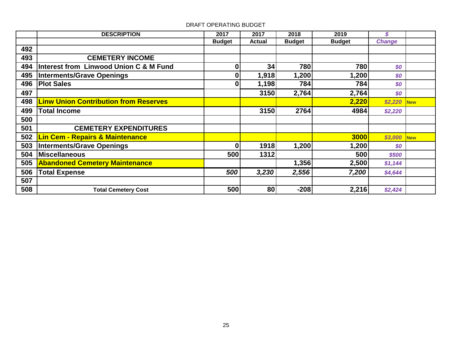|     | <b>DESCRIPTION</b>                                | 2017          | 2017          | 2018          | 2019          | S                          |            |
|-----|---------------------------------------------------|---------------|---------------|---------------|---------------|----------------------------|------------|
|     |                                                   | <b>Budget</b> | <b>Actual</b> | <b>Budget</b> | <b>Budget</b> | <b>Change</b>              |            |
| 492 |                                                   |               |               |               |               |                            |            |
| 493 | <b>CEMETERY INCOME</b>                            |               |               |               |               |                            |            |
| 494 | <b>Interest from Linwood Union C &amp; M Fund</b> | 0             | 34            | 780           | 780           | \$0                        |            |
| 495 | <b>Interments/Grave Openings</b>                  |               | 1,918         | 1,200         | 1,200         | \$0                        |            |
| 496 | <b>Plot Sales</b>                                 | U             | 1,198         | 784           | 784           | \$0                        |            |
| 497 |                                                   |               | 3150          | 2,764         | 2,764         | \$0                        |            |
| 498 | <b>Linw Union Contribution from Reserves</b>      |               |               |               | 2,220         | \$2,220                    | <b>New</b> |
| 499 | <b>Total Income</b>                               |               | 3150          | 2764          | 4984          | \$2,220                    |            |
| 500 |                                                   |               |               |               |               |                            |            |
| 501 | <b>CEMETERY EXPENDITURES</b>                      |               |               |               |               |                            |            |
| 502 | <b>Lin Cem - Repairs &amp; Maintenance</b>        |               |               |               | 3000          | \$3,000                    | <b>New</b> |
| 503 | <b>Interments/Grave Openings</b>                  | 0             | 1918          | 1,200         | 1,200         | $\boldsymbol{\mathcal{S}}$ |            |
| 504 | <b>Miscellaneous</b>                              | 500           | 1312          |               | 500           | \$500                      |            |
| 505 | <b>Abandoned Cemetery Maintenance</b>             |               |               | 1,356         | 2,500         | \$1,144                    |            |
| 506 | <b>Total Expense</b>                              | 500           | 3,230         | 2,556         | 7,200         | \$4,644                    |            |
| 507 |                                                   |               |               |               |               |                            |            |
| 508 | <b>Total Cemetery Cost</b>                        | 500           | 80            | $-208$        | 2,216         | \$2,424                    |            |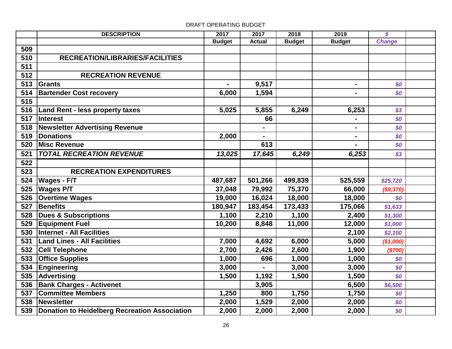# **DESCRIPTION 2017 2017 2018 2019** *\$* **Budget Actual Budget Budget** *Change* **RECREATION/LIBRARIES/FACILITIES RECREATION REVENUE Grants - 9,517 -** *\$0* **Bartender Cost recovery 1900 6,000 1,594** 1 **Land Rent - less property taxes 5,025 5,855 6,249 6,253** *\$3* **Interest 66 -** *\$0* **Newsletter Advertising Revenue**  $\begin{array}{ccc} \hline \end{array}$  **.**  $\begin{array}{ccc} \hline \end{array}$  **.**  $\begin{array}{ccc} \hline \end{array}$  **.**  $\begin{array}{ccc} \hline \end{array}$  **Donations 2,000 - -** *\$0* **Misc Revenue** 613 **613** - **1 613**  *TOTAL RECREATION REVENUE 13,025 17,645 6,249 6,253 \$3* **RECREATION EXPENDITURES Wages - F/T 487,687 501,266 499,839 525,559** *\$25,720* **Wages P/T 37,048 79,992 75,370 66,000** *(\$9,370)* **Overtime Wages** 19,000 16,024 18,000 18,000 18,000 18,000 18,000 18,000 18,000 18,000 18,000 18,000 18,000 18,000 18,000 18,000 18,000 18,000 18,000 18,000 18,000 18,000 18,000 18,000 18,000 18,000 18,000 18,000 18, **Benefits 180,947 183,454 173,433 175,066** *\$1,633* **Dues & Subscriptions 1,100 2,210 1,100 2,400** *\$1,300* **Equipment Fuel 10,200 8,848 11,000 12,000** *\$1,000* **Internet - All Facilities 2,100** *\$2,100* **Land Lines - All Facilities 7,000 4,692 6,000 5,000** *(\$1,000)* **Cell Telephone 2,700 2,426 2,600 1,900** *(\$700)* **Office Supplies** 1,000 **1,000 1,000 1,000 1,000 50 Engineering 534 Engineering 534 Engineering 534 Engineering** 50 **Advertising 1,500 1,192 1,500 1,500** *\$0* **Bank Charges - Activenet** 1 **1 1 1 1 1 3,905 1 1 1 1 6,500 \$6,500 Committee Members 1,250 800 1,750 1,750** *\$0* **Newsletter 2,000 1,529 2,000 2,000** *\$0* **Donation to Heidelberg Recreation Association 2,000 2,000 2,000 2,000** *\$0*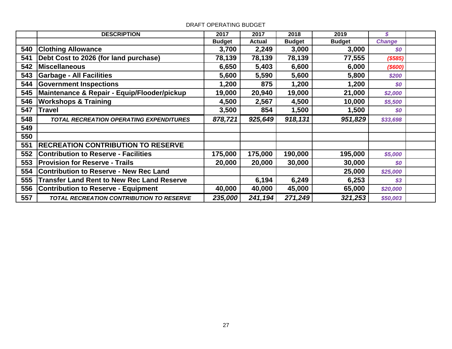|     | <b>DESCRIPTION</b>                                | 2017          | 2017          | 2018          | 2019          | \$            |  |
|-----|---------------------------------------------------|---------------|---------------|---------------|---------------|---------------|--|
|     |                                                   | <b>Budget</b> | <b>Actual</b> | <b>Budget</b> | <b>Budget</b> | <b>Change</b> |  |
| 540 | <b>Clothing Allowance</b>                         | 3,700         | 2,249         | 3,000         | 3,000         | \$0           |  |
| 541 | Debt Cost to 2026 (for land purchase)             | 78,139        | 78,139        | 78,139        | 77,555        | ( \$585)      |  |
| 542 | <b>Miscellaneous</b>                              | 6,650         | 5,403         | 6,600         | 6,000         | $($ \$600)    |  |
| 543 | <b>Garbage - All Facilities</b>                   | 5,600         | 5,590         | 5,600         | 5,800         | \$200         |  |
| 544 | <b>Government Inspections</b>                     | 1,200         | 875           | 1,200         | 1,200         | \$0           |  |
| 545 | Maintenance & Repair - Equip/Flooder/pickup       | 19,000        | 20,940        | 19,000        | 21,000        | \$2,000       |  |
| 546 | <b>Workshops &amp; Training</b>                   | 4,500         | 2,567         | 4,500         | 10,000        | \$5,500       |  |
| 547 | <b>Travel</b>                                     | 3,500         | 854           | 1,500         | 1,500         | \$0           |  |
| 548 | <b>TOTAL RECREATION OPERATING EXPENDITURES</b>    | 878,721       | 925,649       | 918,131       | 951,829       | \$33,698      |  |
| 549 |                                                   |               |               |               |               |               |  |
| 550 |                                                   |               |               |               |               |               |  |
| 551 | <b>RECREATION CONTRIBUTION TO RESERVE</b>         |               |               |               |               |               |  |
| 552 | <b>Contribution to Reserve - Facilities</b>       | 175,000       | 175,000       | 190,000       | 195,000       | \$5,000       |  |
| 553 | <b>Provision for Reserve - Trails</b>             | 20,000        | 20,000        | 30,000        | 30,000        | \$0           |  |
| 554 | <b>Contribution to Reserve - New Rec Land</b>     |               |               |               | 25,000        | \$25,000      |  |
| 555 | <b>Transfer Land Rent to New Rec Land Reserve</b> |               | 6,194         | 6,249         | 6,253         | \$3           |  |
| 556 | <b>Contribution to Reserve - Equipment</b>        | 40,000        | 40,000        | 45,000        | 65,000        | \$20,000      |  |
| 557 | <b>TOTAL RECREATION CONTRIBUTION TO RESERVE</b>   | 235,000       | 241,194       | 271,249       | 321,253       | \$50,003      |  |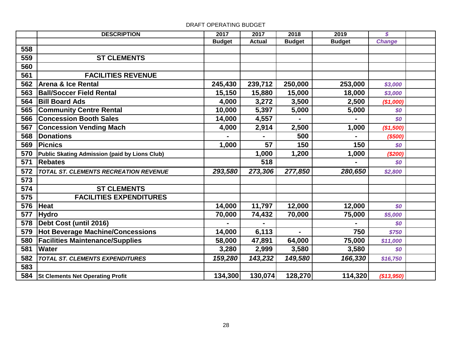|     | <b>DESCRIPTION</b>                                   | 2017          | 2017          | 2018           | 2019          | \$            |  |
|-----|------------------------------------------------------|---------------|---------------|----------------|---------------|---------------|--|
|     |                                                      | <b>Budget</b> | <b>Actual</b> | <b>Budget</b>  | <b>Budget</b> | <b>Change</b> |  |
| 558 |                                                      |               |               |                |               |               |  |
| 559 | <b>ST CLEMENTS</b>                                   |               |               |                |               |               |  |
| 560 |                                                      |               |               |                |               |               |  |
| 561 | <b>FACILITIES REVENUE</b>                            |               |               |                |               |               |  |
| 562 | <b>Arena &amp; Ice Rental</b>                        | 245,430       | 239,712       | 250,000        | 253,000       | \$3,000       |  |
| 563 | <b>Ball/Soccer Field Rental</b>                      | 15,150        | 15,880        | 15,000         | 18,000        | \$3,000       |  |
| 564 | <b>Bill Board Ads</b>                                | 4,000         | 3,272         | 3,500          | 2,500         | (\$1,000)     |  |
| 565 | <b>Community Centre Rental</b>                       | 10,000        | 5,397         | 5,000          | 5,000         | \$0           |  |
| 566 | <b>Concession Booth Sales</b>                        | 14,000        | 4,557         | $\blacksquare$ |               | \$0           |  |
| 567 | <b>Concession Vending Mach</b>                       | 4,000         | 2,914         | 2,500          | 1,000         | (\$1,500)     |  |
| 568 | <b>Donations</b>                                     |               |               | 500            |               | (\$500)       |  |
| 569 | <b>IPicnics</b>                                      | 1,000         | 57            | 150            | 150           | \$0           |  |
| 570 | <b>Public Skating Admission (paid by Lions Club)</b> |               | 1,000         | 1,200          | 1,000         | (\$200)       |  |
| 571 | <b>Rebates</b>                                       |               | 518           |                |               | \$0           |  |
| 572 | <b>TOTAL ST. CLEMENTS RECREATION REVENUE</b>         | 293,580       | 273,306       | 277,850        | 280,650       | \$2,800       |  |
| 573 |                                                      |               |               |                |               |               |  |
| 574 | <b>ST CLEMENTS</b>                                   |               |               |                |               |               |  |
| 575 | <b>FACILITIES EXPENDITURES</b>                       |               |               |                |               |               |  |
| 576 | Heat                                                 | 14,000        | 11,797        | 12,000         | 12,000        | \$0           |  |
| 577 | <b>Hydro</b>                                         | 70,000        | 74,432        | 70,000         | 75,000        | \$5,000       |  |
| 578 | Debt Cost (until 2016)                               |               |               |                |               | \$0           |  |
| 579 | <b>Hot Beverage Machine/Concessions</b>              | 14,000        | 6,113         | $\blacksquare$ | 750           | \$750         |  |
| 580 | <b>Facilities Maintenance/Supplies</b>               | 58,000        | 47,891        | 64,000         | 75,000        | \$11,000      |  |
| 581 | <b>Water</b>                                         | 3,280         | 2,999         | 3,580          | 3,580         | \$0           |  |
| 582 | TOTAL ST. CLEMENTS EXPENDITURES                      | 159,280       | 143,232       | 149,580        | 166,330       | \$16,750      |  |
| 583 |                                                      |               |               |                |               |               |  |
|     | 584 St Clements Net Operating Profit                 | 134,300       | 130,074       | 128,270        | 114,320       | (\$13,950)    |  |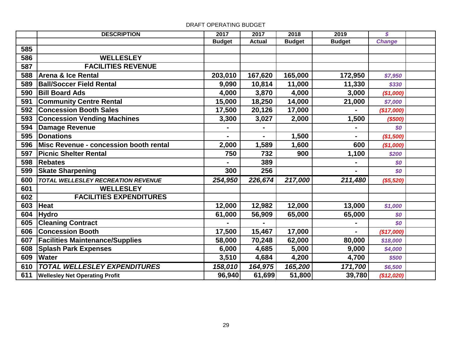|     | <b>DESCRIPTION</b>                     | 2017           | 2017           | 2018          | 2019          | $\boldsymbol{s}$ |  |
|-----|----------------------------------------|----------------|----------------|---------------|---------------|------------------|--|
|     |                                        | <b>Budget</b>  | <b>Actual</b>  | <b>Budget</b> | <b>Budget</b> | <b>Change</b>    |  |
| 585 |                                        |                |                |               |               |                  |  |
| 586 | <b>WELLESLEY</b>                       |                |                |               |               |                  |  |
| 587 | <b>FACILITIES REVENUE</b>              |                |                |               |               |                  |  |
| 588 | Arena & Ice Rental                     | 203,010        | 167,620        | 165,000       | 172,950       | \$7,950          |  |
| 589 | <b>Ball/Soccer Field Rental</b>        | 9,090          | 10,814         | 11,000        | 11,330        | \$330            |  |
| 590 | <b>Bill Board Ads</b>                  | 4,000          | 3,870          | 4,000         | 3,000         | (\$1,000)        |  |
| 591 | <b>Community Centre Rental</b>         | 15,000         | 18,250         | 14,000        | 21,000        | \$7,000          |  |
| 592 | <b>Concession Booth Sales</b>          | 17,500         | 20,126         | 17,000        |               | (\$17,000)       |  |
| 593 | <b>Concession Vending Machines</b>     | 3,300          | 3,027          | 2,000         | 1,500         | (\$500)          |  |
| 594 | Damage Revenue                         |                |                |               |               | \$0              |  |
| 595 | <b>Donations</b>                       | $\blacksquare$ | $\blacksquare$ | 1,500         |               | (\$1,500)        |  |
| 596 | Misc Revenue - concession booth rental | 2,000          | 1,589          | 1,600         | 600           | (\$1,000)        |  |
| 597 | <b>Picnic Shelter Rental</b>           | 750            | 732            | 900           | 1,100         | \$200            |  |
| 598 | <b>Rebates</b>                         |                | 389            |               |               | \$0              |  |
| 599 | <b>Skate Sharpening</b>                | 300            | 256            |               |               | \$0              |  |
| 600 | TOTAL WELLESLEY RECREATION REVENUE     | 254,950        | 226,674        | 217,000       | 211,480       | (\$5,520)        |  |
| 601 | <b>WELLESLEY</b>                       |                |                |               |               |                  |  |
| 602 | <b>FACILITIES EXPENDITURES</b>         |                |                |               |               |                  |  |
| 603 | <b>Heat</b>                            | 12,000         | 12,982         | 12,000        | 13,000        | \$1,000          |  |
| 604 | <b>Hydro</b>                           | 61,000         | 56,909         | 65,000        | 65,000        | \$0              |  |
| 605 | <b>Cleaning Contract</b>               |                |                |               |               | \$0              |  |
| 606 | <b>Concession Booth</b>                | 17,500         | 15,467         | 17,000        |               | (\$17,000)       |  |
| 607 | <b>Facilities Maintenance/Supplies</b> | 58,000         | 70,248         | 62,000        | 80,000        | \$18,000         |  |
| 608 | <b>Splash Park Expenses</b>            | 6,000          | 4,685          | 5,000         | 9,000         | \$4,000          |  |
| 609 | <b>Water</b>                           | 3,510          | 4,684          | 4,200         | 4,700         | \$500            |  |
| 610 | <b>TOTAL WELLESLEY EXPENDITURES</b>    | 158,010        | 164,975        | 165,200       | 171,700       | \$6,500          |  |
| 611 | <b>Wellesley Net Operating Profit</b>  | 96,940         | 61,699         | 51,800        | 39,780        | (\$12,020)       |  |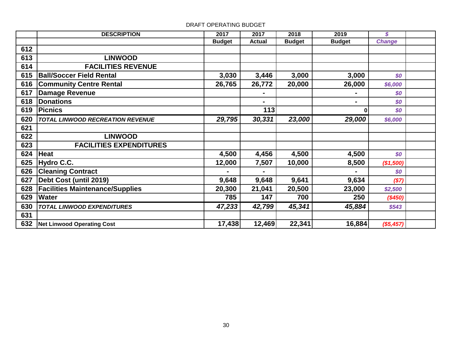|     | <b>DESCRIPTION</b>                      | 2017          | 2017           | 2018          | 2019           | S             |  |
|-----|-----------------------------------------|---------------|----------------|---------------|----------------|---------------|--|
|     |                                         | <b>Budget</b> | <b>Actual</b>  | <b>Budget</b> | <b>Budget</b>  | <b>Change</b> |  |
| 612 |                                         |               |                |               |                |               |  |
| 613 | <b>LINWOOD</b>                          |               |                |               |                |               |  |
| 614 | <b>FACILITIES REVENUE</b>               |               |                |               |                |               |  |
| 615 | <b>Ball/Soccer Field Rental</b>         | 3,030         | 3,446          | 3,000         | 3,000          | \$0           |  |
| 616 | <b>Community Centre Rental</b>          | 26,765        | 26,772         | 20,000        | 26,000         | \$6,000       |  |
| 617 | <b>Damage Revenue</b>                   |               |                |               |                | \$0           |  |
| 618 | <b>Donations</b>                        |               | $\blacksquare$ |               | $\blacksquare$ | \$0           |  |
| 619 | <b>Picnics</b>                          |               | 113            |               |                | \$0           |  |
| 620 | <b>TOTAL LINWOOD RECREATION REVENUE</b> | 29,795        | 30,331         | 23,000        | 29,000         | \$6,000       |  |
| 621 |                                         |               |                |               |                |               |  |
| 622 | <b>LINWOOD</b>                          |               |                |               |                |               |  |
| 623 | <b>FACILITIES EXPENDITURES</b>          |               |                |               |                |               |  |
| 624 | <b>Heat</b>                             | 4,500         | 4,456          | 4,500         | 4,500          | \$0           |  |
| 625 | Hydro C.C.                              | 12,000        | 7,507          | 10,000        | 8,500          | (\$1,500)     |  |
| 626 | <b>Cleaning Contract</b>                |               | $\blacksquare$ |               |                | \$0           |  |
| 627 | Debt Cost (until 2019)                  | 9,648         | 9,648          | 9,641         | 9,634          | ( \$7)        |  |
| 628 | <b>Facilities Maintenance/Supplies</b>  | 20,300        | 21,041         | 20,500        | 23,000         | \$2,500       |  |
| 629 | <b>Water</b>                            | 785           | 147            | 700           | 250            | (\$450)       |  |
| 630 | <b>TOTAL LINWOOD EXPENDITURES</b>       | 47,233        | 42,799         | 45,341        | 45,884         | \$543         |  |
| 631 |                                         |               |                |               |                |               |  |
| 632 | Net Linwood Operating Cost              | 17,438        | 12,469         | 22,341        | 16,884         | $(\$5,457)$   |  |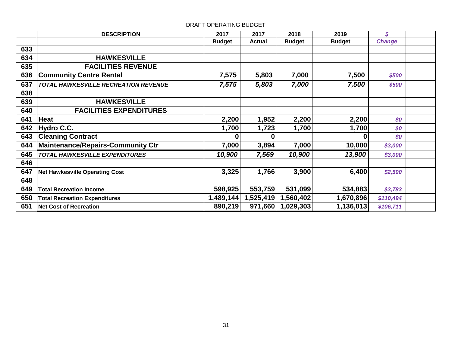|     | <b>DESCRIPTION</b>                          | 2017          | 2017          | 2018              | 2019          | \$            |  |
|-----|---------------------------------------------|---------------|---------------|-------------------|---------------|---------------|--|
|     |                                             | <b>Budget</b> | <b>Actual</b> | <b>Budget</b>     | <b>Budget</b> | <b>Change</b> |  |
| 633 |                                             |               |               |                   |               |               |  |
| 634 | <b>HAWKESVILLE</b>                          |               |               |                   |               |               |  |
| 635 | <b>FACILITIES REVENUE</b>                   |               |               |                   |               |               |  |
| 636 | <b>Community Centre Rental</b>              | 7,575         | 5,803         | 7,000             | 7,500         | \$500         |  |
| 637 | <b>TOTAL HAWKESVILLE RECREATION REVENUE</b> | 7,575         | 5,803         | 7,000             | 7,500         | \$500         |  |
| 638 |                                             |               |               |                   |               |               |  |
| 639 | <b>HAWKESVILLE</b>                          |               |               |                   |               |               |  |
| 640 | <b>FACILITIES EXPENDITURES</b>              |               |               |                   |               |               |  |
| 641 | Heat                                        | 2,200         | 1,952         | 2,200             | 2,200         | \$0           |  |
| 642 | Hydro C.C.                                  | 1,700         | 1,723         | 1,700             | 1,700         | \$0           |  |
| 643 | <b>Cleaning Contract</b>                    | 0             | U             |                   | 0             | \$0           |  |
| 644 | Maintenance/Repairs-Community Ctr           | 7,000         | 3,894         | 7,000             | 10,000        | \$3,000       |  |
| 645 | <b>TOTAL HAWKESVILLE EXPENDITURES</b>       | 10,900        | 7,569         | 10,900            | 13,900        | \$3,000       |  |
| 646 |                                             |               |               |                   |               |               |  |
| 647 | <b>Net Hawkesville Operating Cost</b>       | 3,325         | 1,766         | 3,900             | 6,400         | \$2,500       |  |
| 648 |                                             |               |               |                   |               |               |  |
| 649 | <b>Total Recreation Income</b>              | 598,925       | 553,759       | 531,099           | 534,883       | \$3,783       |  |
| 650 | <b>Total Recreation Expenditures</b>        | 1,489,144     | 1,525,419     | 1,560,402         | 1,670,896     | \$110,494     |  |
| 651 | <b>Net Cost of Recreation</b>               | 890,219       |               | 971,660 1,029,303 | 1,136,013     | \$106,711     |  |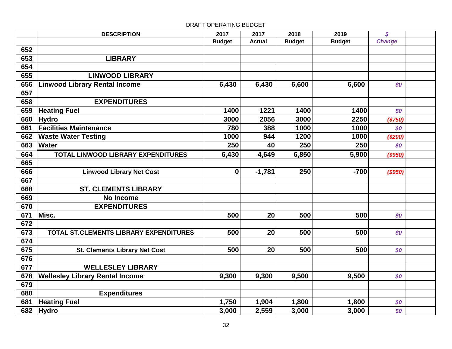# **DESCRIPTION 2017 2017 2018 2019** *\$* **Budget Actual Budget Budget** *Change* **LIBRARY LINWOOD LIBRARY Linwood Library Rental Income 6,430 6,430 6,430 6,600 6,600 6,600 6,600 EXPENDITURES Heating Fuel 1400 1221 1400 1400** *\$0* **Hydro 3000 2056 3000 2250** *(\$750)* **Facilities Maintenance 780 388 1000 1000** *\$0* **Waste Water Testing 1000 944 1200 1000** *(\$200)* **Water 250 40 250 250** *\$0* **6,430 4,649 6,850 5,900** *(\$950)* **TOTAL LINWOOD LIBRARY EXPENDITURES Linwood Library Net Cost 0 -1,781 250 -700** *(\$950)* **ST. CLEMENTS LIBRARY No Income EXPENDITURES Misc. 500 20 500 500** *\$0* **500 20 500 500** *\$0* **TOTAL ST.CLEMENTS LIBRARY EXPENDITURES St. Clements Library Net Cost 500 20 500 500** *\$0* **WELLESLEY LIBRARY Wellesley Library Rental Income 9,300 9,300 9,500 9,500** *\$0* **Expenditures Heating Fuel 1,750 1,904 1,800 1,800 1,800 50 Hydro 3,000 2,559 3,000 3,000** *\$0*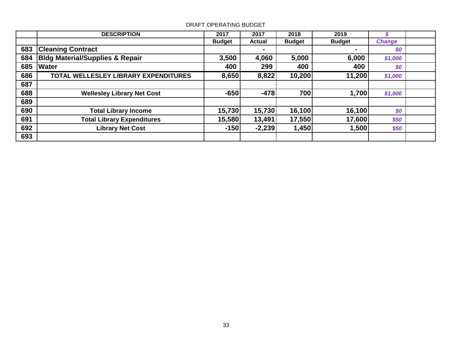|     | <b>DESCRIPTION</b>                         | 2017          | 2017          | 2018          | 2019          | ъ             |  |
|-----|--------------------------------------------|---------------|---------------|---------------|---------------|---------------|--|
|     |                                            | <b>Budget</b> | <b>Actual</b> | <b>Budget</b> | <b>Budget</b> | <b>Change</b> |  |
| 683 | <b>Cleaning Contract</b>                   |               | $\sim$        |               |               | \$0           |  |
| 684 | <b>Bldg Material/Supplies &amp; Repair</b> | 3,500         | 4,060         | 5,000         | 6,000         | \$1,000       |  |
| 685 | <b>Water</b>                               | 400           | 299           | 400           | 400           | \$0           |  |
| 686 | TOTAL WELLESLEY LIBRARY EXPENDITURES       | 8,650         | 8,822         | 10,200        | 11,200        | \$1,000       |  |
| 687 |                                            |               |               |               |               |               |  |
| 688 | <b>Wellesley Library Net Cost</b>          | $-650$        | $-478$        | 700           | 1,700         | \$1,000       |  |
| 689 |                                            |               |               |               |               |               |  |
| 690 | <b>Total Library Income</b>                | 15,730        | 15,730        | 16,100        | 16,100        | \$0           |  |
| 691 | <b>Total Library Expenditures</b>          | 15,580        | 13,491        | 17,550        | 17,600        | \$50          |  |
| 692 | <b>Library Net Cost</b>                    | $-150$        | $-2,239$      | 1,450         | 1,500         | \$50          |  |
| 693 |                                            |               |               |               |               |               |  |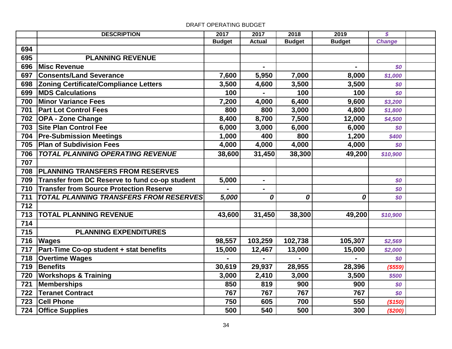|     | <b>DESCRIPTION</b>                             | 2017          | 2017           | 2018          | 2019           | $\overline{\mathcal{S}}$ |  |
|-----|------------------------------------------------|---------------|----------------|---------------|----------------|--------------------------|--|
|     |                                                | <b>Budget</b> | <b>Actual</b>  | <b>Budget</b> | <b>Budget</b>  | <b>Change</b>            |  |
| 694 |                                                |               |                |               |                |                          |  |
| 695 | <b>PLANNING REVENUE</b>                        |               |                |               |                |                          |  |
| 696 | <b>Misc Revenue</b>                            |               | $\blacksquare$ |               | $\blacksquare$ | \$0                      |  |
| 697 | <b>Consents/Land Severance</b>                 | 7,600         | 5,950          | 7,000         | 8,000          | \$1,000                  |  |
| 698 | <b>Zoning Certificate/Compliance Letters</b>   | 3,500         | 4,600          | 3,500         | 3,500          | \$0                      |  |
| 699 | <b>MDS Calculations</b>                        | 100           |                | 100           | 100            | \$0                      |  |
| 700 | <b>Minor Variance Fees</b>                     | 7,200         | 4,000          | 6,400         | 9,600          | \$3,200                  |  |
| 701 | <b>Part Lot Control Fees</b>                   | 800           | 800            | 3,000         | 4,800          | \$1,800                  |  |
| 702 | <b>OPA - Zone Change</b>                       | 8,400         | 8,700          | 7,500         | 12,000         | \$4,500                  |  |
| 703 | <b>Site Plan Control Fee</b>                   | 6,000         | 3,000          | 6,000         | 6,000          | \$0                      |  |
| 704 | <b>Pre-Submission Meetings</b>                 | 1,000         | 400            | 800           | 1,200          | \$400                    |  |
| 705 | <b>Plan of Subdivision Fees</b>                | 4,000         | 4,000          | 4,000         | 4,000          | \$0                      |  |
| 706 | <b>TOTAL PLANNING OPERATING REVENUE</b>        | 38,600        | 31,450         | 38,300        | 49,200         | \$10,900                 |  |
| 707 |                                                |               |                |               |                |                          |  |
| 708 | <b>PLANNING TRANSFERS FROM RESERVES</b>        |               |                |               |                |                          |  |
| 709 | Transfer from DC Reserve to fund co-op student | 5,000         | $\blacksquare$ |               |                | \$0                      |  |
| 710 | <b>Transfer from Source Protection Reserve</b> |               | $\blacksquare$ |               |                | \$0                      |  |
| 711 | <b>TOTAL PLANNING TRANSFERS FROM RESERVES</b>  | 5,000         | 0              | 0             | 0              | \$0                      |  |
| 712 |                                                |               |                |               |                |                          |  |
| 713 | <b>TOTAL PLANNING REVENUE</b>                  | 43,600        | 31,450         | 38,300        | 49,200         | \$10,900                 |  |
| 714 |                                                |               |                |               |                |                          |  |
| 715 | <b>PLANNING EXPENDITURES</b>                   |               |                |               |                |                          |  |
| 716 | <b>Wages</b>                                   | 98,557        | 103,259        | 102,738       | 105,307        | \$2,569                  |  |
| 717 | Part-Time Co-op student + stat benefits        | 15,000        | 12,467         | 13,000        | 15,000         | \$2,000                  |  |
| 718 | <b>Overtime Wages</b>                          |               |                |               |                | \$0                      |  |
| 719 | Benefits                                       | 30,619        | 29,937         | 28,955        | 28,396         | (\$559)                  |  |
| 720 | <b>Workshops &amp; Training</b>                | 3,000         | 2,410          | 3,000         | 3,500          | \$500                    |  |
| 721 | Memberships                                    | 850           | 819            | 900           | 900            | \$0                      |  |
| 722 | Teranet Contract                               | 767           | 767            | 767           | 767            | \$0                      |  |
| 723 | <b>Cell Phone</b>                              | 750           | 605            | 700           | 550            | (\$150)                  |  |
| 724 | <b>Office Supplies</b>                         | 500           | 540            | 500           | 300            | (\$200)                  |  |